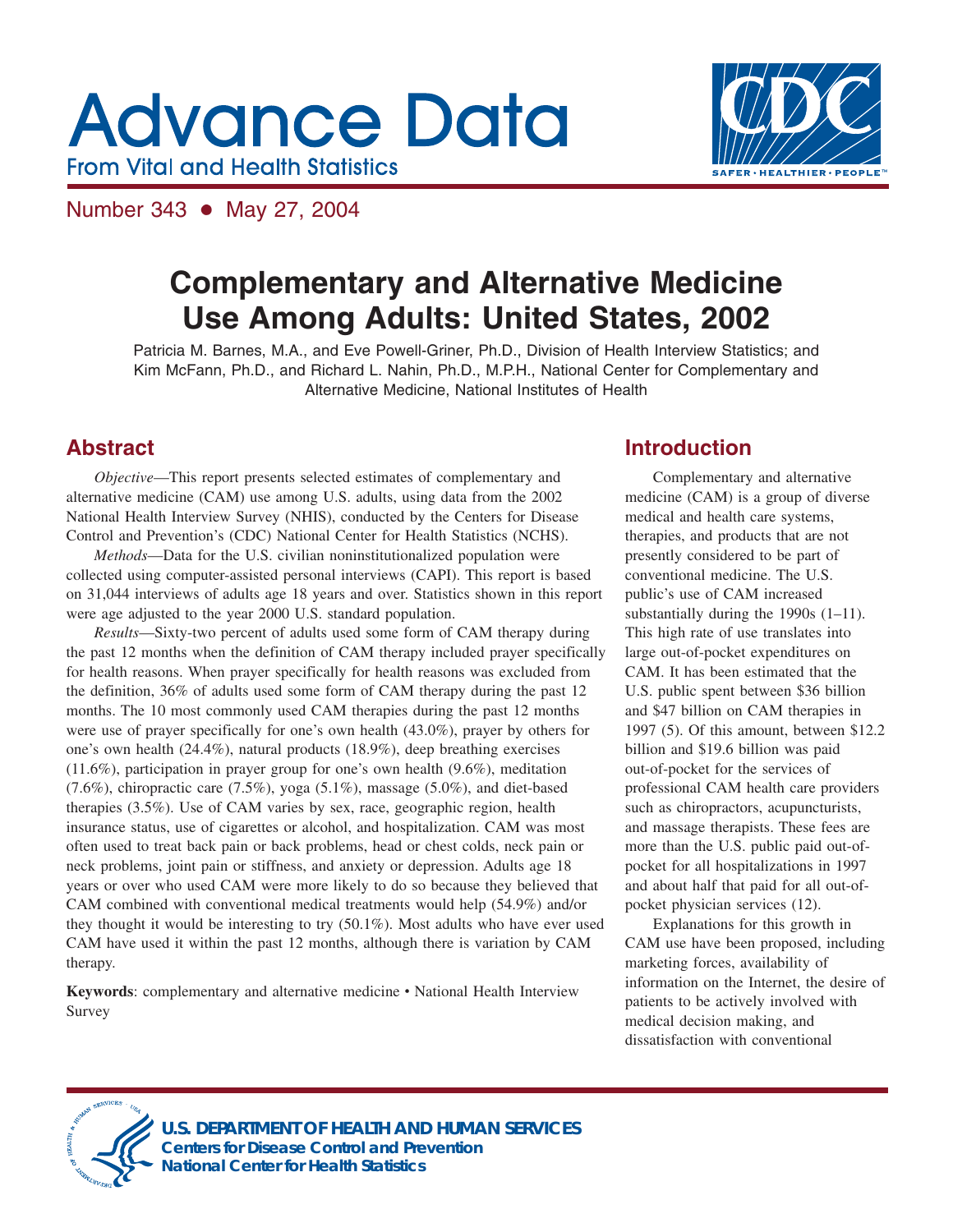# **Advance Data From Vital and Health Statistics**



Number 343 • May 27, 2004

## **Complementary and Alternative Medicine Use Among Adults: United States, 2002**

Patricia M. Barnes, M.A., and Eve Powell-Griner, Ph.D., Division of Health Interview Statistics; and Kim McFann, Ph.D., and Richard L. Nahin, Ph.D., M.P.H., National Center for Complementary and Alternative Medicine, National Institutes of Health

## **Abstract**

*Objective*—This report presents selected estimates of complementary and alternative medicine (CAM) use among U.S. adults, using data from the 2002 National Health Interview Survey (NHIS), conducted by the Centers for Disease Control and Prevention's (CDC) National Center for Health Statistics (NCHS).

*Methods*—Data for the U.S. civilian noninstitutionalized population were collected using computer-assisted personal interviews (CAPI). This report is based on 31,044 interviews of adults age 18 years and over. Statistics shown in this report were age adjusted to the year 2000 U.S. standard population.

*Results*—Sixty-two percent of adults used some form of CAM therapy during the past 12 months when the definition of CAM therapy included prayer specifically for health reasons. When prayer specifically for health reasons was excluded from the definition, 36% of adults used some form of CAM therapy during the past 12 months. The 10 most commonly used CAM therapies during the past 12 months were use of prayer specifically for one's own health (43.0%), prayer by others for one's own health (24.4%), natural products (18.9%), deep breathing exercises (11.6%), participation in prayer group for one's own health (9.6%), meditation (7.6%), chiropractic care (7.5%), yoga (5.1%), massage (5.0%), and diet-based therapies (3.5%). Use of CAM varies by sex, race, geographic region, health insurance status, use of cigarettes or alcohol, and hospitalization. CAM was most often used to treat back pain or back problems, head or chest colds, neck pain or neck problems, joint pain or stiffness, and anxiety or depression. Adults age 18 years or over who used CAM were more likely to do so because they believed that CAM combined with conventional medical treatments would help (54.9%) and/or they thought it would be interesting to try (50.1%). Most adults who have ever used CAM have used it within the past 12 months, although there is variation by CAM therapy.

Keywords: complementary and alternative medicine • National Health Interview Survey

## **Introduction**

Complementary and alternative medicine (CAM) is a group of diverse medical and health care systems, therapies, and products that are not presently considered to be part of conventional medicine. The U.S. public's use of CAM increased substantially during the 1990s (1–11). This high rate of use translates into large out-of-pocket expenditures on CAM. It has been estimated that the U.S. public spent between \$36 billion and \$47 billion on CAM therapies in 1997 (5). Of this amount, between \$12.2 billion and \$19.6 billion was paid out-of-pocket for the services of professional CAM health care providers such as chiropractors, acupuncturists, and massage therapists. These fees are more than the U.S. public paid out-ofpocket for all hospitalizations in 1997 and about half that paid for all out-ofpocket physician services (12).

Explanations for this growth in CAM use have been proposed, including marketing forces, availability of information on the Internet, the desire of patients to be actively involved with medical decision making, and dissatisfaction with conventional



**U.S. DEPARTMENT OF HEALTH AND HUMAN SERVICES Centers for Disease Control and Prevention National Center for Health Statistics**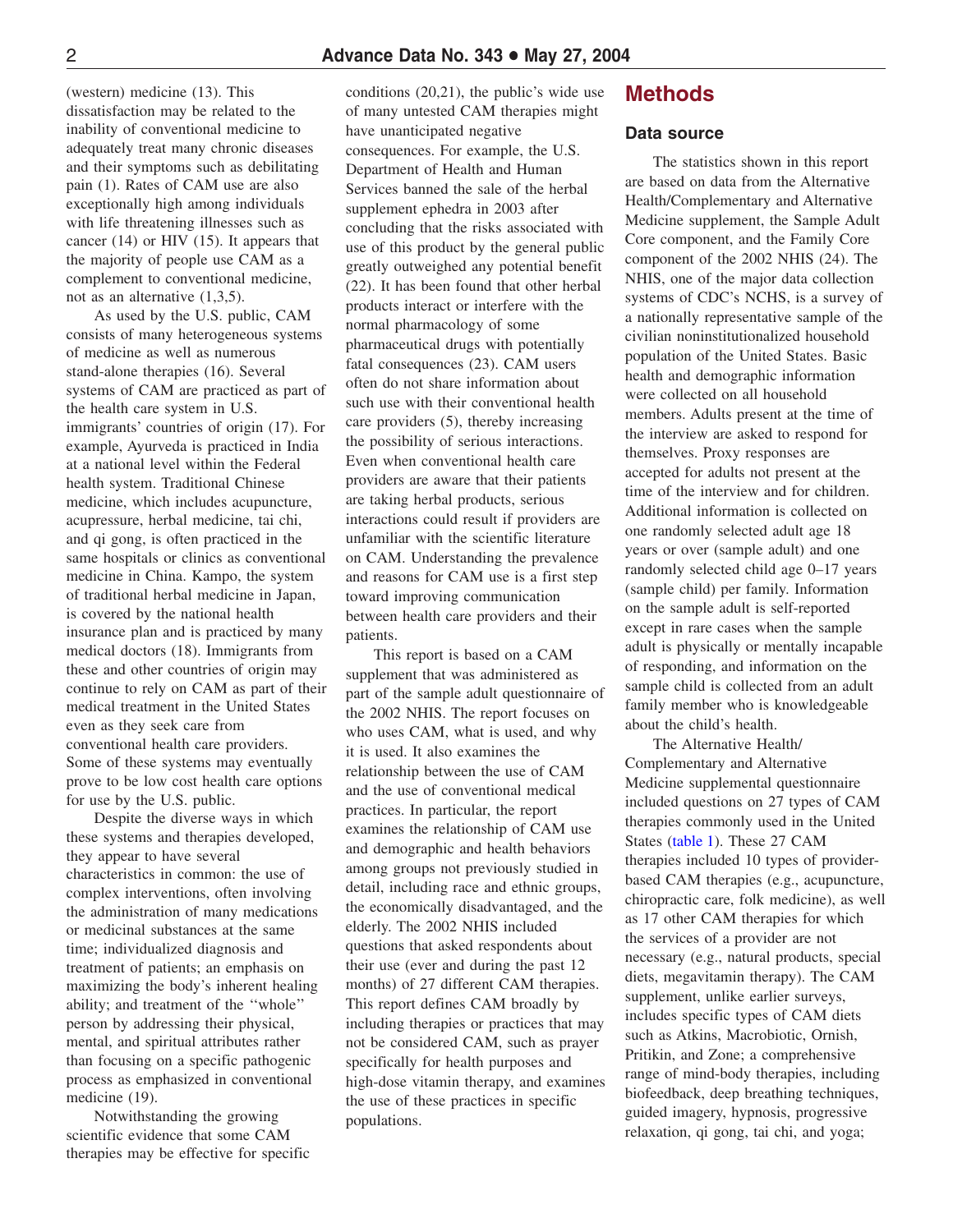(western) medicine (13). This dissatisfaction may be related to the inability of conventional medicine to adequately treat many chronic diseases and their symptoms such as debilitating pain (1). Rates of CAM use are also exceptionally high among individuals with life threatening illnesses such as cancer (14) or HIV (15). It appears that the majority of people use CAM as a complement to conventional medicine, not as an alternative (1,3,5).

As used by the U.S. public, CAM consists of many heterogeneous systems of medicine as well as numerous stand-alone therapies (16). Several systems of CAM are practiced as part of the health care system in U.S. immigrants' countries of origin (17). For example, Ayurveda is practiced in India at a national level within the Federal health system. Traditional Chinese medicine, which includes acupuncture, acupressure, herbal medicine, tai chi, and qi gong, is often practiced in the same hospitals or clinics as conventional medicine in China. Kampo, the system of traditional herbal medicine in Japan, is covered by the national health insurance plan and is practiced by many medical doctors (18). Immigrants from these and other countries of origin may continue to rely on CAM as part of their medical treatment in the United States even as they seek care from conventional health care providers. Some of these systems may eventually prove to be low cost health care options for use by the U.S. public.

Despite the diverse ways in which these systems and therapies developed, they appear to have several characteristics in common: the use of complex interventions, often involving the administration of many medications or medicinal substances at the same time; individualized diagnosis and treatment of patients; an emphasis on maximizing the body's inherent healing ability; and treatment of the ''whole'' person by addressing their physical, mental, and spiritual attributes rather than focusing on a specific pathogenic process as emphasized in conventional medicine (19).

Notwithstanding the growing scientific evidence that some CAM therapies may be effective for specific

conditions (20,21), the public's wide use of many untested CAM therapies might have unanticipated negative consequences. For example, the U.S. Department of Health and Human Services banned the sale of the herbal supplement ephedra in 2003 after concluding that the risks associated with use of this product by the general public greatly outweighed any potential benefit (22). It has been found that other herbal products interact or interfere with the normal pharmacology of some pharmaceutical drugs with potentially fatal consequences (23). CAM users often do not share information about such use with their conventional health care providers (5), thereby increasing the possibility of serious interactions. Even when conventional health care providers are aware that their patients are taking herbal products, serious interactions could result if providers are unfamiliar with the scientific literature on CAM. Understanding the prevalence and reasons for CAM use is a first step toward improving communication between health care providers and their patients.

This report is based on a CAM supplement that was administered as part of the sample adult questionnaire of the 2002 NHIS. The report focuses on who uses CAM, what is used, and why it is used. It also examines the relationship between the use of CAM and the use of conventional medical practices. In particular, the report examines the relationship of CAM use and demographic and health behaviors among groups not previously studied in detail, including race and ethnic groups, the economically disadvantaged, and the elderly. The 2002 NHIS included questions that asked respondents about their use (ever and during the past 12 months) of 27 different CAM therapies. This report defines CAM broadly by including therapies or practices that may not be considered CAM, such as prayer specifically for health purposes and high-dose vitamin therapy, and examines the use of these practices in specific populations.

## **Methods**

#### **Data source**

The statistics shown in this report are based on data from the Alternative Health/Complementary and Alternative Medicine supplement, the Sample Adult Core component, and the Family Core component of the 2002 NHIS (24). The NHIS, one of the major data collection systems of CDC's NCHS, is a survey of a nationally representative sample of the civilian noninstitutionalized household population of the United States. Basic health and demographic information were collected on all household members. Adults present at the time of the interview are asked to respond for themselves. Proxy responses are accepted for adults not present at the time of the interview and for children. Additional information is collected on one randomly selected adult age 18 years or over (sample adult) and one randomly selected child age 0–17 years (sample child) per family. Information on the sample adult is self-reported except in rare cases when the sample adult is physically or mentally incapable of responding, and information on the sample child is collected from an adult family member who is knowledgeable about the child's health.

The Alternative Health/ Complementary and Alternative Medicine supplemental questionnaire included questions on 27 types of CAM therapies commonly used in the United States [\(table](#page-7-0) 1). These 27 CAM therapies included 10 types of providerbased CAM therapies (e.g., acupuncture, chiropractic care, folk medicine), as well as 17 other CAM therapies for which the services of a provider are not necessary (e.g., natural products, special diets, megavitamin therapy). The CAM supplement, unlike earlier surveys, includes specific types of CAM diets such as Atkins, Macrobiotic, Ornish, Pritikin, and Zone; a comprehensive range of mind-body therapies, including biofeedback, deep breathing techniques, guided imagery, hypnosis, progressive relaxation, qi gong, tai chi, and yoga;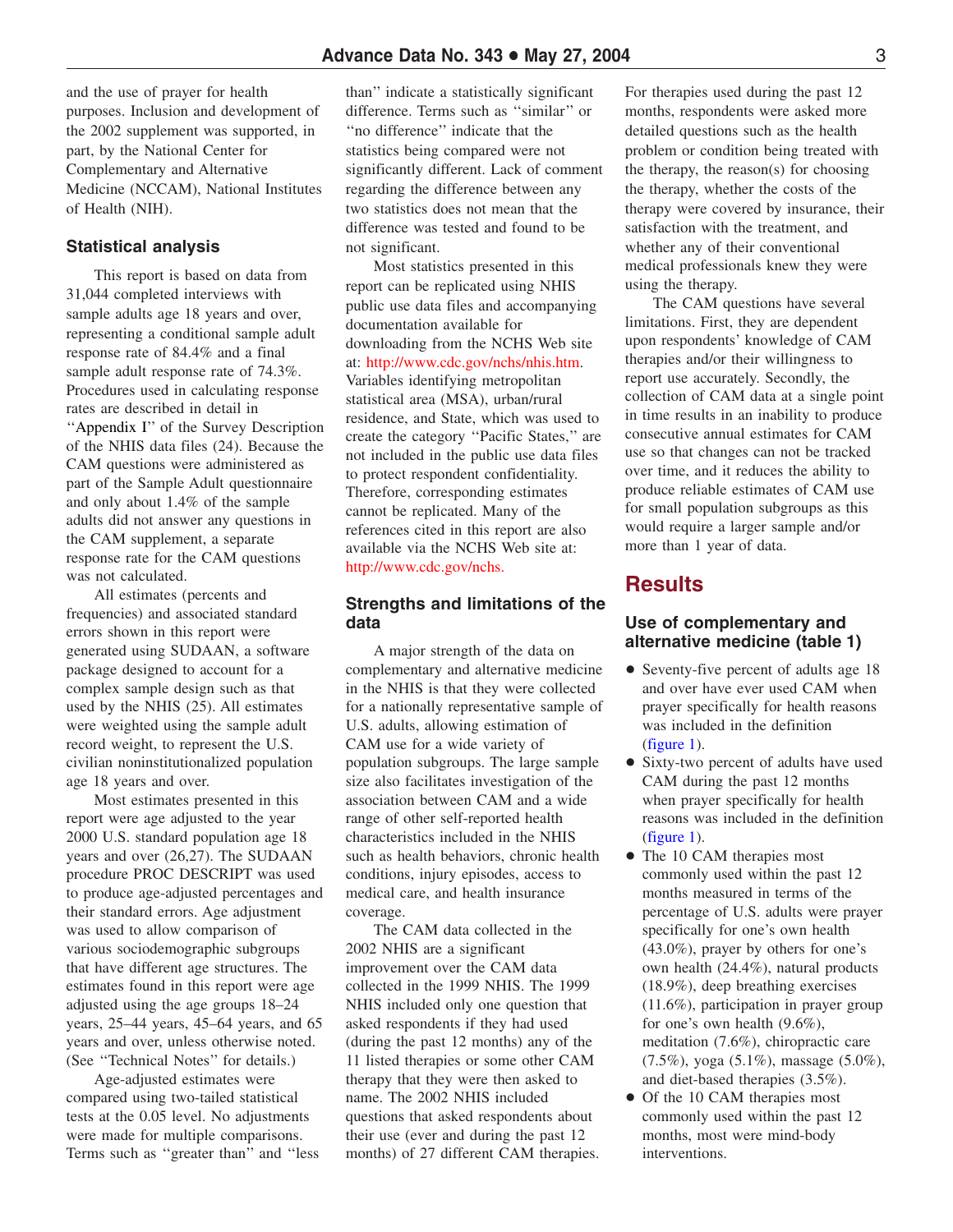and the use of prayer for health purposes. Inclusion and development of the 2002 supplement was supported, in part, by the National Center for Complementary and Alternative Medicine (NCCAM), National Institutes of Health (NIH).

#### **Statistical analysis**

This report is based on data from 31,044 completed interviews with sample adults age 18 years and over, representing a conditional sample adult response rate of 84.4% and a final sample adult response rate of 74.3%. Procedures used in calculating response rates are described in detail in ''Appendix I'' of the Survey Description of the NHIS data files (24). Because the CAM questions were administered as part of the Sample Adult questionnaire and only about 1.4% of the sample adults did not answer any questions in the CAM supplement, a separate response rate for the CAM questions was not calculated.

All estimates (percents and frequencies) and associated standard errors shown in this report were generated using SUDAAN, a software package designed to account for a complex sample design such as that used by the NHIS (25). All estimates were weighted using the sample adult record weight, to represent the U.S. civilian noninstitutionalized population age 18 years and over.

Most estimates presented in this report were age adjusted to the year 2000 U.S. standard population age 18 years and over (26,27). The SUDAAN procedure PROC DESCRIPT was used to produce age-adjusted percentages and their standard errors. Age adjustment was used to allow comparison of various sociodemographic subgroups that have different age structures. The estimates found in this report were age adjusted using the age groups 18–24 years, 25–44 years, 45–64 years, and 65 years and over, unless otherwise noted. (See ''Technical Notes'' for details.)

Age-adjusted estimates were compared using two-tailed statistical tests at the 0.05 level. No adjustments were made for multiple comparisons. Terms such as ''greater than'' and ''less than'' indicate a statistically significant difference. Terms such as ''similar'' or ''no difference'' indicate that the statistics being compared were not significantly different. Lack of comment regarding the difference between any two statistics does not mean that the difference was tested and found to be not significant.

Most statistics presented in this report can be replicated using NHIS public use data files and accompanying documentation available for downloading from the NCHS Web site at: [http://www.cdc.gov/nchs/nhis.htm.](http://www.cdc.gov/nchs/nhis.htm) Variables identifying metropolitan statistical area (MSA), urban/rural residence, and State, which was used to create the category ''Pacific States,'' are not included in the public use data files to protect respondent confidentiality. Therefore, corresponding estimates cannot be replicated. Many of the references cited in this report are also available via the NCHS Web site at: [http://www.cdc.gov/nchs.](http://www.cdc.gov/nchs)

### **Strengths and limitations of the data**

A major strength of the data on complementary and alternative medicine in the NHIS is that they were collected for a nationally representative sample of U.S. adults, allowing estimation of CAM use for a wide variety of population subgroups. The large sample size also facilitates investigation of the association between CAM and a wide range of other self-reported health characteristics included in the NHIS such as health behaviors, chronic health conditions, injury episodes, access to medical care, and health insurance coverage.

The CAM data collected in the 2002 NHIS are a significant improvement over the CAM data collected in the 1999 NHIS. The 1999 NHIS included only one question that asked respondents if they had used (during the past 12 months) any of the 11 listed therapies or some other CAM therapy that they were then asked to name. The 2002 NHIS included questions that asked respondents about their use (ever and during the past 12 months) of 27 different CAM therapies. For therapies used during the past 12 months, respondents were asked more detailed questions such as the health problem or condition being treated with the therapy, the reason(s) for choosing the therapy, whether the costs of the therapy were covered by insurance, their satisfaction with the treatment, and whether any of their conventional medical professionals knew they were using the therapy.

The CAM questions have several limitations. First, they are dependent upon respondents' knowledge of CAM therapies and/or their willingness to report use accurately. Secondly, the collection of CAM data at a single point in time results in an inability to produce consecutive annual estimates for CAM use so that changes can not be tracked over time, and it reduces the ability to produce reliable estimates of CAM use for small population subgroups as this would require a larger sample and/or more than 1 year of data.

## **Results**

#### **Use of complementary and alternative medicine (table 1)**

- Seventy-five percent of adults age 18 and over have ever used CAM when prayer specifically for health reasons was included in the definition [\(figure](#page-3-0) 1).
- Sixty-two percent of adults have used CAM during the past 12 months when prayer specifically for health reasons was included in the definition [\(figure](#page-3-0) 1).
- The 10 CAM therapies most commonly used within the past 12 months measured in terms of the percentage of U.S. adults were prayer specifically for one's own health (43.0%), prayer by others for one's own health (24.4%), natural products (18.9%), deep breathing exercises (11.6%), participation in prayer group for one's own health (9.6%), meditation (7.6%), chiropractic care (7.5%), yoga (5.1%), massage (5.0%), and diet-based therapies (3.5%).
- Of the 10 CAM therapies most commonly used within the past 12 months, most were mind-body interventions.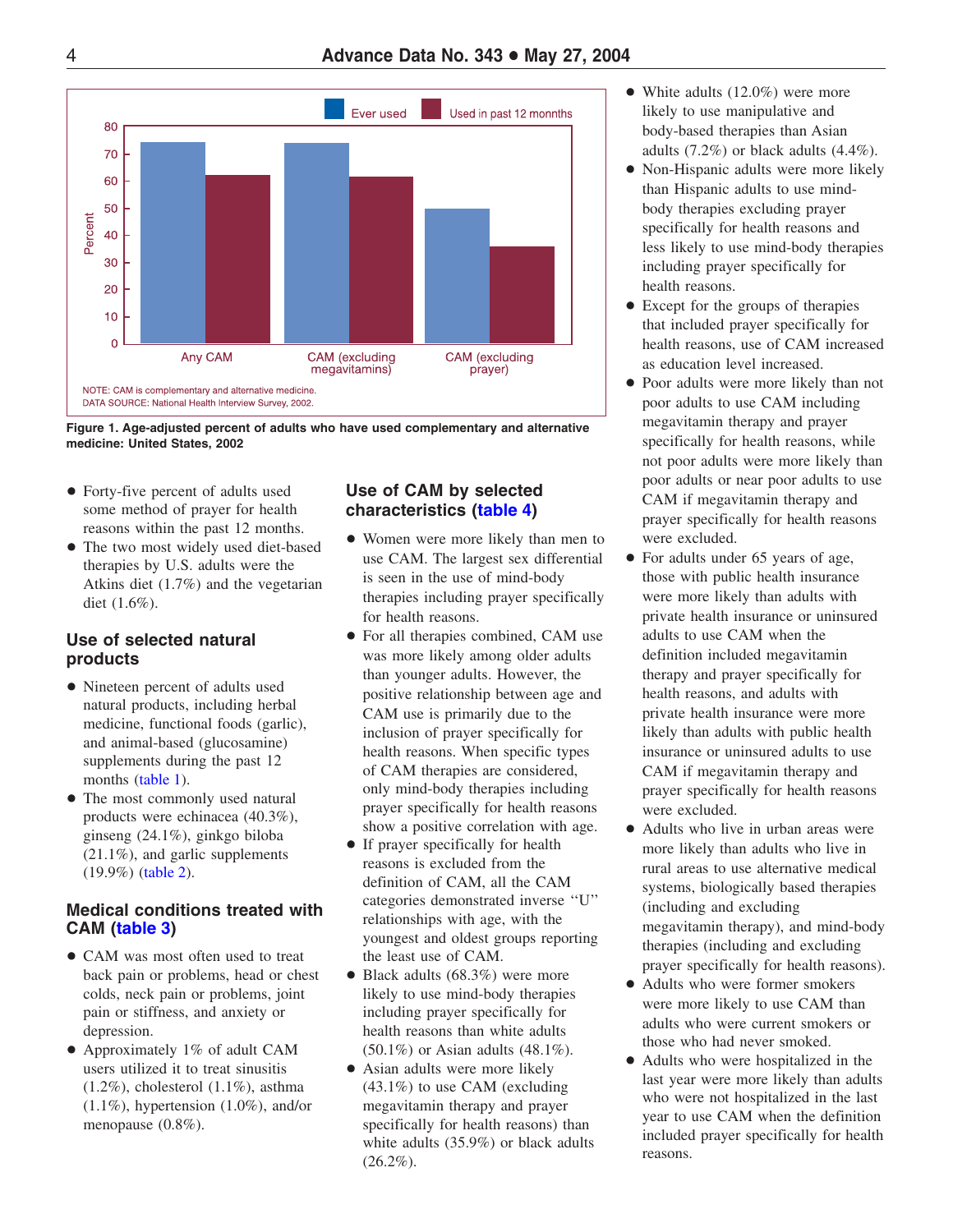<span id="page-3-0"></span>



- Forty-five percent of adults used some method of prayer for health reasons within the past 12 months.
- The two most widely used diet-based therapies by U.S. adults were the Atkins diet (1.7%) and the vegetarian diet (1.6%).

## **Use of selected natural products**

- Nineteen percent of adults used natural products, including herbal medicine, functional foods (garlic), and animal-based (glucosamine) supplements during the past 12 months [\(table](#page-7-0) 1).
- The most commonly used natural products were echinacea (40.3%), ginseng (24.1%), ginkgo biloba (21.1%), and garlic supplements (19.9%) [\(table](#page-8-0) 2).

## **Medical conditions treated with CAM [\(table](#page-8-0) 3)**

- CAM was most often used to treat back pain or problems, head or chest colds, neck pain or problems, joint pain or stiffness, and anxiety or depression.
- Approximately 1% of adult CAM users utilized it to treat sinusitis  $(1.2\%)$ , cholesterol  $(1.1\%)$ , asthma  $(1.1\%)$ , hypertension  $(1.0\%)$ , and/or menopause (0.8%).

## **Use of CAM by selected characteristics [\(table](#page-9-0) 4)**

- Women were more likely than men to use CAM. The largest sex differential is seen in the use of mind-body therapies including prayer specifically for health reasons.
- For all therapies combined, CAM use was more likely among older adults than younger adults. However, the positive relationship between age and CAM use is primarily due to the inclusion of prayer specifically for health reasons. When specific types of CAM therapies are considered, only mind-body therapies including prayer specifically for health reasons show a positive correlation with age.
- If prayer specifically for health reasons is excluded from the definition of CAM, all the CAM categories demonstrated inverse ''U'' relationships with age, with the youngest and oldest groups reporting the least use of CAM.
- $\bullet$  Black adults (68.3%) were more likely to use mind-body therapies including prayer specifically for health reasons than white adults (50.1%) or Asian adults (48.1%).
- Asian adults were more likely (43.1%) to use CAM (excluding megavitamin therapy and prayer specifically for health reasons) than white adults (35.9%) or black adults  $(26.2\%)$ .
- $\bullet$  White adults (12.0%) were more likely to use manipulative and body-based therapies than Asian adults (7.2%) or black adults (4.4%).
- Non-Hispanic adults were more likely than Hispanic adults to use mindbody therapies excluding prayer specifically for health reasons and less likely to use mind-body therapies including prayer specifically for health reasons.
- Except for the groups of therapies that included prayer specifically for health reasons, use of CAM increased as education level increased.
- + Poor adults were more likely than not poor adults to use CAM including megavitamin therapy and prayer specifically for health reasons, while not poor adults were more likely than poor adults or near poor adults to use CAM if megavitamin therapy and prayer specifically for health reasons were excluded.
- For adults under 65 years of age, those with public health insurance were more likely than adults with private health insurance or uninsured adults to use CAM when the definition included megavitamin therapy and prayer specifically for health reasons, and adults with private health insurance were more likely than adults with public health insurance or uninsured adults to use CAM if megavitamin therapy and prayer specifically for health reasons were excluded.
- Adults who live in urban areas were more likely than adults who live in rural areas to use alternative medical systems, biologically based therapies (including and excluding megavitamin therapy), and mind-body therapies (including and excluding prayer specifically for health reasons).
- Adults who were former smokers were more likely to use CAM than adults who were current smokers or those who had never smoked.
- Adults who were hospitalized in the last year were more likely than adults who were not hospitalized in the last year to use CAM when the definition included prayer specifically for health reasons.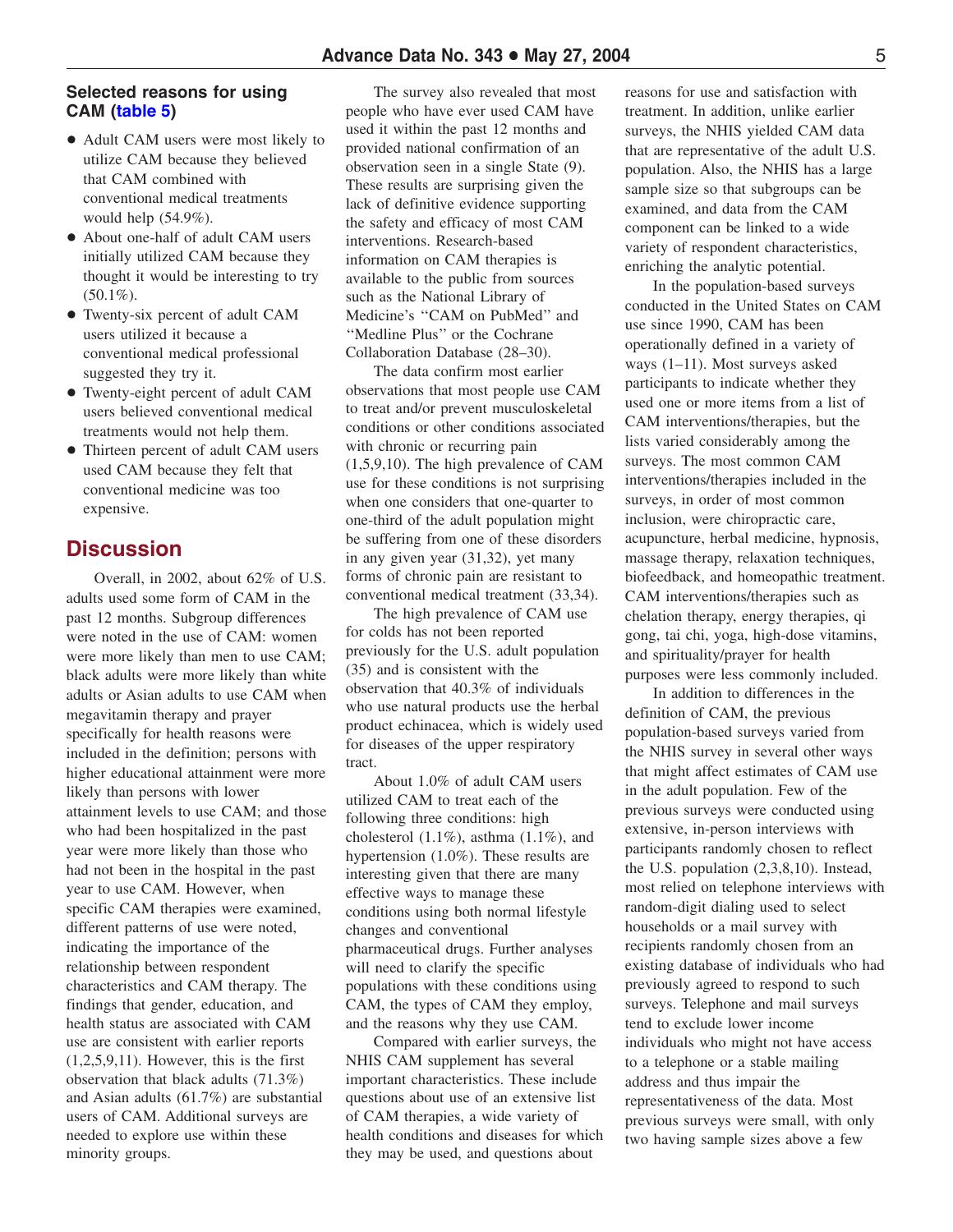### **Selected reasons for using CAM [\(table](#page-12-0) 5)**

- Adult CAM users were most likely to utilize CAM because they believed that CAM combined with conventional medical treatments would help (54.9%).
- About one-half of adult CAM users initially utilized CAM because they thought it would be interesting to try  $(50.1\%)$ .
- Twenty-six percent of adult CAM users utilized it because a conventional medical professional suggested they try it.
- $\bullet$  Twenty-eight percent of adult CAM users believed conventional medical treatments would not help them.
- Thirteen percent of adult CAM users used CAM because they felt that conventional medicine was too expensive.

## **Discussion**

Overall, in 2002, about 62% of U.S. adults used some form of CAM in the past 12 months. Subgroup differences were noted in the use of CAM: women were more likely than men to use CAM; black adults were more likely than white adults or Asian adults to use CAM when megavitamin therapy and prayer specifically for health reasons were included in the definition; persons with higher educational attainment were more likely than persons with lower attainment levels to use CAM; and those who had been hospitalized in the past year were more likely than those who had not been in the hospital in the past year to use CAM. However, when specific CAM therapies were examined, different patterns of use were noted, indicating the importance of the relationship between respondent characteristics and CAM therapy. The findings that gender, education, and health status are associated with CAM use are consistent with earlier reports  $(1,2,5,9,11)$ . However, this is the first observation that black adults (71.3%) and Asian adults (61.7%) are substantial users of CAM. Additional surveys are needed to explore use within these minority groups.

The survey also revealed that most people who have ever used CAM have used it within the past 12 months and provided national confirmation of an observation seen in a single State (9). These results are surprising given the lack of definitive evidence supporting the safety and efficacy of most CAM interventions. Research-based information on CAM therapies is available to the public from sources such as the National Library of Medicine's ''CAM on PubMed'' and ''Medline Plus'' or the Cochrane Collaboration Database (28–30).

The data confirm most earlier observations that most people use CAM to treat and/or prevent musculoskeletal conditions or other conditions associated with chronic or recurring pain (1,5,9,10). The high prevalence of CAM use for these conditions is not surprising when one considers that one-quarter to one-third of the adult population might be suffering from one of these disorders in any given year (31,32), yet many forms of chronic pain are resistant to conventional medical treatment (33,34).

The high prevalence of CAM use for colds has not been reported previously for the U.S. adult population (35) and is consistent with the observation that 40.3% of individuals who use natural products use the herbal product echinacea, which is widely used for diseases of the upper respiratory tract.

About 1.0% of adult CAM users utilized CAM to treat each of the following three conditions: high cholesterol  $(1.1\%)$ , asthma  $(1.1\%)$ , and hypertension (1.0%). These results are interesting given that there are many effective ways to manage these conditions using both normal lifestyle changes and conventional pharmaceutical drugs. Further analyses will need to clarify the specific populations with these conditions using CAM, the types of CAM they employ, and the reasons why they use CAM.

Compared with earlier surveys, the NHIS CAM supplement has several important characteristics. These include questions about use of an extensive list of CAM therapies, a wide variety of health conditions and diseases for which they may be used, and questions about

reasons for use and satisfaction with treatment. In addition, unlike earlier surveys, the NHIS yielded CAM data that are representative of the adult U.S. population. Also, the NHIS has a large sample size so that subgroups can be examined, and data from the CAM component can be linked to a wide variety of respondent characteristics, enriching the analytic potential.

In the population-based surveys conducted in the United States on CAM use since 1990, CAM has been operationally defined in a variety of ways (1–11). Most surveys asked participants to indicate whether they used one or more items from a list of CAM interventions/therapies, but the lists varied considerably among the surveys. The most common CAM interventions/therapies included in the surveys, in order of most common inclusion, were chiropractic care, acupuncture, herbal medicine, hypnosis, massage therapy, relaxation techniques, biofeedback, and homeopathic treatment. CAM interventions/therapies such as chelation therapy, energy therapies, qi gong, tai chi, yoga, high-dose vitamins, and spirituality/prayer for health purposes were less commonly included.

In addition to differences in the definition of CAM, the previous population-based surveys varied from the NHIS survey in several other ways that might affect estimates of CAM use in the adult population. Few of the previous surveys were conducted using extensive, in-person interviews with participants randomly chosen to reflect the U.S. population (2,3,8,10). Instead, most relied on telephone interviews with random-digit dialing used to select households or a mail survey with recipients randomly chosen from an existing database of individuals who had previously agreed to respond to such surveys. Telephone and mail surveys tend to exclude lower income individuals who might not have access to a telephone or a stable mailing address and thus impair the representativeness of the data. Most previous surveys were small, with only two having sample sizes above a few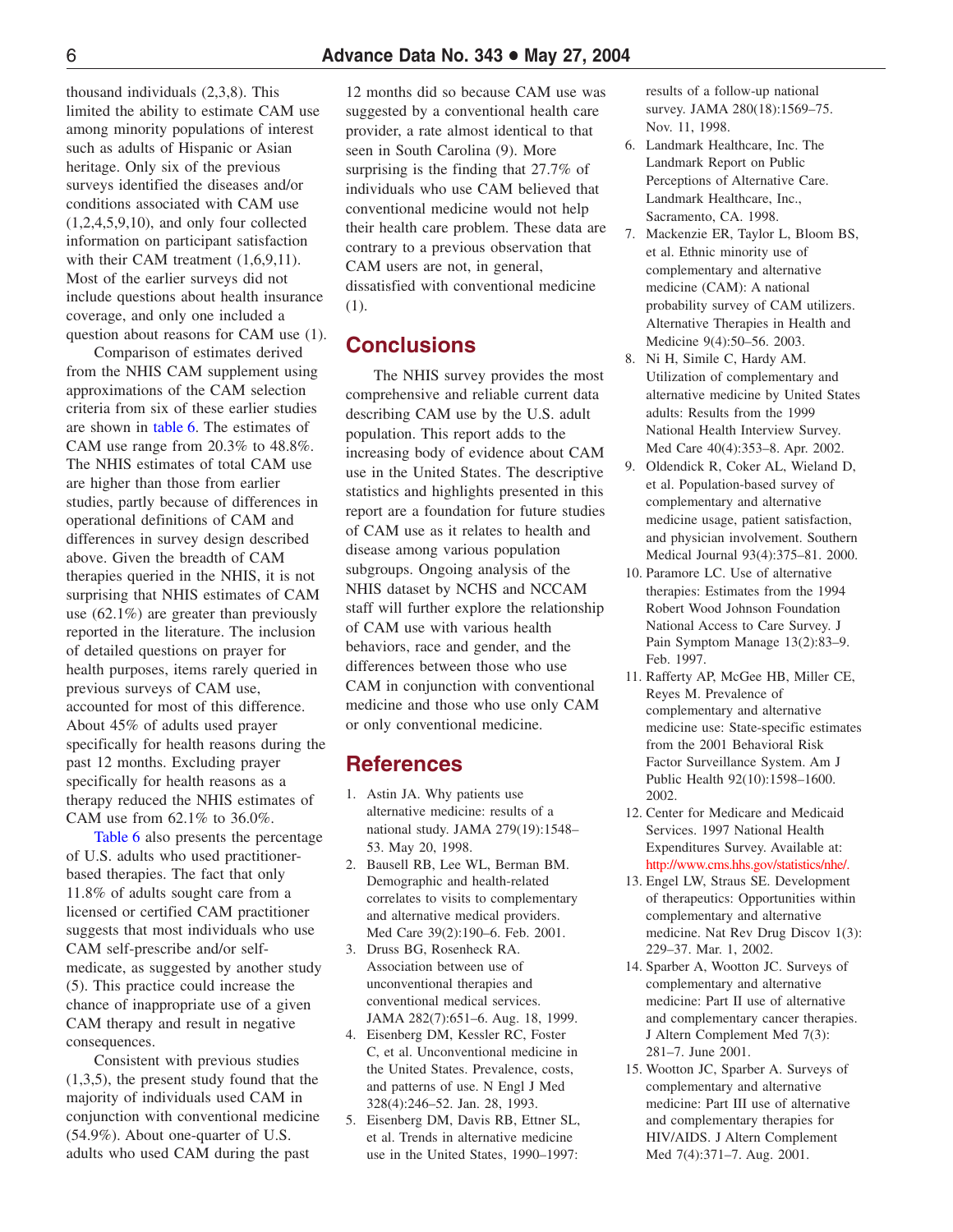thousand individuals (2,3,8). This limited the ability to estimate CAM use among minority populations of interest such as adults of Hispanic or Asian heritage. Only six of the previous surveys identified the diseases and/or conditions associated with CAM use  $(1,2,4,5,9,10)$ , and only four collected information on participant satisfaction with their CAM treatment  $(1,6,9,11)$ . Most of the earlier surveys did not include questions about health insurance coverage, and only one included a question about reasons for CAM use (1).

Comparison of estimates derived from the NHIS CAM supplement using approximations of the CAM selection criteria from six of these earlier studies are shown in [table 6.](#page-13-0) The estimates of CAM use range from 20.3% to 48.8%. The NHIS estimates of total CAM use are higher than those from earlier studies, partly because of differences in operational definitions of CAM and differences in survey design described above. Given the breadth of CAM therapies queried in the NHIS, it is not surprising that NHIS estimates of CAM use (62.1%) are greater than previously reported in the literature. The inclusion of detailed questions on prayer for health purposes, items rarely queried in previous surveys of CAM use, accounted for most of this difference. About 45% of adults used prayer specifically for health reasons during the past 12 months. Excluding prayer specifically for health reasons as a therapy reduced the NHIS estimates of CAM use from 62.1% to 36.0%.

[Table 6](#page-13-0) also presents the percentage of U.S. adults who used practitionerbased therapies. The fact that only 11.8% of adults sought care from a licensed or certified CAM practitioner suggests that most individuals who use CAM self-prescribe and/or selfmedicate, as suggested by another study (5). This practice could increase the chance of inappropriate use of a given CAM therapy and result in negative consequences.

Consistent with previous studies (1,3,5), the present study found that the majority of individuals used CAM in conjunction with conventional medicine (54.9%). About one-quarter of U.S. adults who used CAM during the past

12 months did so because CAM use was suggested by a conventional health care provider, a rate almost identical to that seen in South Carolina (9). More surprising is the finding that 27.7% of individuals who use CAM believed that conventional medicine would not help their health care problem. These data are contrary to a previous observation that CAM users are not, in general, dissatisfied with conventional medicine (1).

## **Conclusions**

The NHIS survey provides the most comprehensive and reliable current data describing CAM use by the U.S. adult population. This report adds to the increasing body of evidence about CAM use in the United States. The descriptive statistics and highlights presented in this report are a foundation for future studies of CAM use as it relates to health and disease among various population subgroups. Ongoing analysis of the NHIS dataset by NCHS and NCCAM staff will further explore the relationship of CAM use with various health behaviors, race and gender, and the differences between those who use CAM in conjunction with conventional medicine and those who use only CAM or only conventional medicine.

## **References**

- 1. Astin JA. Why patients use alternative medicine: results of a national study. JAMA 279(19):1548– 53. May 20, 1998.
- 2. Bausell RB, Lee WL, Berman BM. Demographic and health-related correlates to visits to complementary and alternative medical providers. Med Care 39(2):190–6. Feb. 2001.
- 3. Druss BG, Rosenheck RA. Association between use of unconventional therapies and conventional medical services. JAMA 282(7):651–6. Aug. 18, 1999.
- 4. Eisenberg DM, Kessler RC, Foster C, et al. Unconventional medicine in the United States. Prevalence, costs, and patterns of use. N Engl J Med 328(4):246–52. Jan. 28, 1993.
- 5. Eisenberg DM, Davis RB, Ettner SL, et al. Trends in alternative medicine use in the United States, 1990–1997:

results of a follow-up national survey. JAMA 280(18):1569-75. Nov. 11, 1998.

- 6. Landmark Healthcare, Inc. The Landmark Report on Public Perceptions of Alternative Care. Landmark Healthcare, Inc., Sacramento, CA. 1998.
- 7. Mackenzie ER, Taylor L, Bloom BS, et al. Ethnic minority use of complementary and alternative medicine (CAM): A national probability survey of CAM utilizers. Alternative Therapies in Health and Medicine 9(4):50–56. 2003.
- 8. Ni H, Simile C, Hardy AM. Utilization of complementary and alternative medicine by United States adults: Results from the 1999 National Health Interview Survey. Med Care 40(4):353–8. Apr. 2002.
- 9. Oldendick R, Coker AL, Wieland D, et al. Population-based survey of complementary and alternative medicine usage, patient satisfaction, and physician involvement. Southern Medical Journal 93(4):375–81. 2000.
- 10. Paramore LC. Use of alternative therapies: Estimates from the 1994 Robert Wood Johnson Foundation National Access to Care Survey. J Pain Symptom Manage 13(2):83–9. Feb. 1997.
- 11. Rafferty AP, McGee HB, Miller CE, Reyes M. Prevalence of complementary and alternative medicine use: State-specific estimates from the 2001 Behavioral Risk Factor Surveillance System. Am J Public Health 92(10):1598–1600. 2002.
- 12. Center for Medicare and Medicaid Services. 1997 National Health Expenditures Survey. Available at: [http://www.cms.hhs.gov/statistics/nhe/.](http://www.cms.hhs.gov/statistics/nhe/)
- 13. Engel LW, Straus SE. Development of therapeutics: Opportunities within complementary and alternative medicine. Nat Rev Drug Discov 1(3): 229–37. Mar. 1, 2002.
- 14. Sparber A, Wootton JC. Surveys of complementary and alternative medicine: Part II use of alternative and complementary cancer therapies. J Altern Complement Med 7(3): 281–7. June 2001.
- 15. Wootton JC, Sparber A. Surveys of complementary and alternative medicine: Part III use of alternative and complementary therapies for HIV/AIDS. J Altern Complement Med 7(4):371–7. Aug. 2001.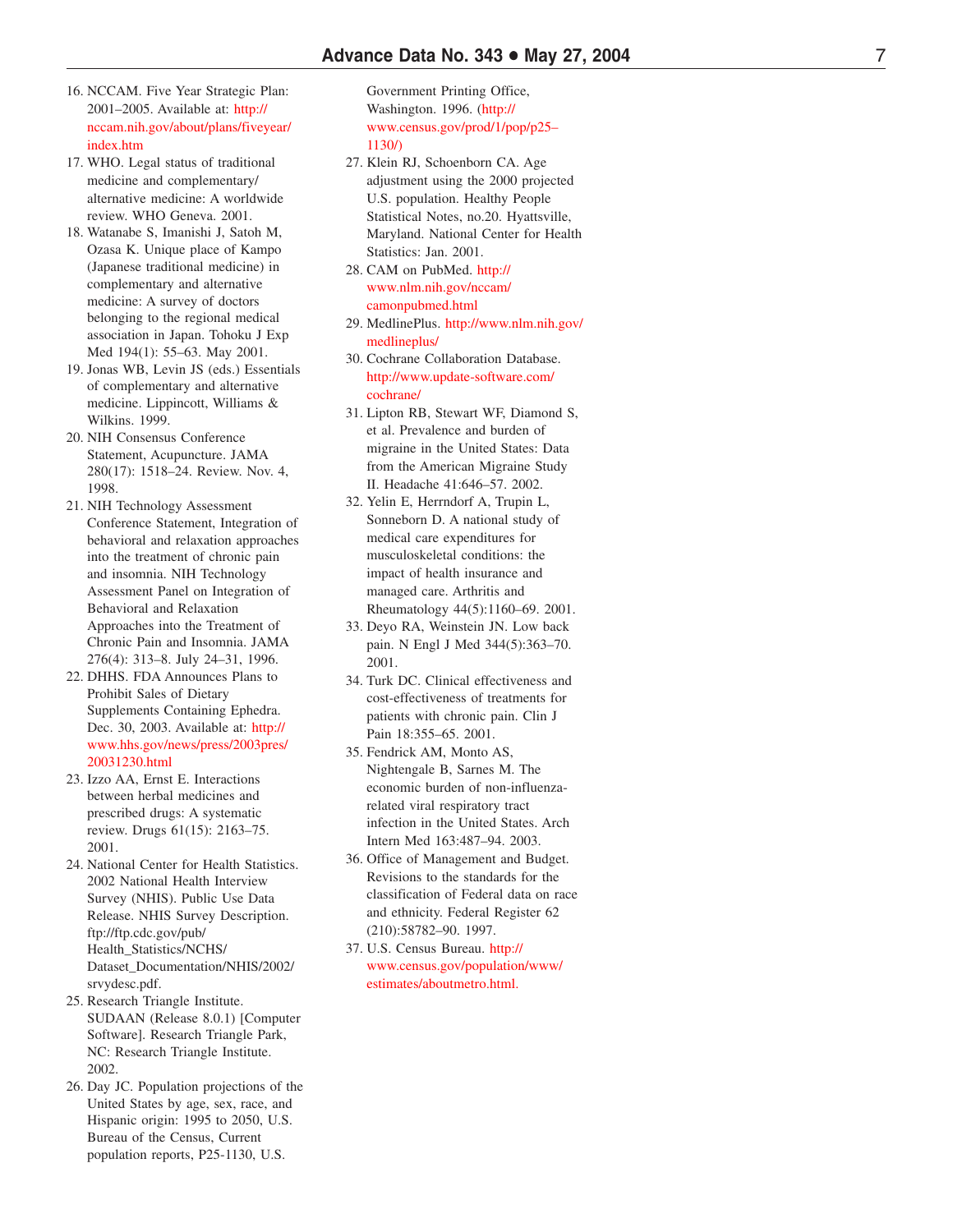- 16. NCCAM. Five Year Strategic Plan: 2001–2005. Available at: http:// [nccam.nih.gov/about/plans/fiveyear/](http://nccam.nih.gov/about/plans/fiveyear/index.htm) index.htm
- 17. WHO. Legal status of traditional medicine and complementary/ alternative medicine: A worldwide review . WHO Geneva. 2001.
- 18. Watanabe S, Imanishi J, Satoh M, Ozasa K. Unique place of Kampo (Japanese traditional medicine) in complementary and alternative medicine: A survey of doctors belonging to the regional medical association in Japan. Tohoku J Exp Med 194(1): 55–63. May 2001.
- 19. Jonas WB, Levin JS (eds.) Essentials of complementary and alternative medicine. Lippincott, Williams & Wilkins. 1999.
- 20. NIH Consensus Conference Statement, Acupuncture. JAMA 280(17): 1518–24. Review. Nov. 4, 1998.
- 21. NIH Technology Assessment Conference Statement, Integration of behavioral and relaxation approaches into the treatment of chronic pain and insomnia. NIH Technology Assessment Panel on Integration of Behavioral and Relaxation Approaches into the Treatment of Chronic Pain and Insomnia. JAMA 276(4): 313–8. July 24–31, 1996.
- 22. DHHS. FDA Announces Plans to Prohibit Sales of Dietary Supplements Containing Ephedra. Dec. 30, 2003. Available at: http:// [www.hhs.gov/news/press/2003pres/](http://www.hhs.gov/news/press/2003pres/20031230.html) 20031230.html
- 23. Izzo AA, Ernst E. Interactions between herbal medicines and prescribed drugs: A systematic review . Drugs 61(15): 2163–75. 2001.
- 24. National Center for Health Statistics. 2002 National Health Interview Survey (NHIS). Public Use Data Release. NHIS Survey Description. ftp://ftp.cdc.gov/pub/ Health\_Statistics/NCHS/ Dataset\_Documentation/NHIS/2002/ srvydesc.pdf.
- 25. Research Triangle Institute. SUDAAN (Release 8.0.1) [Computer Software]. Research Triangle Park, NC: Research Triangle Institute. 2002.
- 26. Day JC. Population projections of the United States by age, sex, race, and Hispanic origin: 1995 to 2050, U.S. Bureau of the Census, Current population reports, P25-1130, U.S.

Government Printing Office, Washington. 1996. (http:// [www.census.gov/prod/1/pop/p25–](http://www.census.gov/prod/1/pop/p25-1130/) 1130/)

- 27. Klein RJ, Schoenborn CA. Age adjustment using the 2000 projected U.S. population. Healthy People Statistical Notes, no.20. Hyattsville, Maryland. National Center for Health Statistics: Jan. 2001.
- 28. CAM o n PubMed. http:// [www.nlm.nih.gov/nccam/](http://www.nlm.nih.gov/nccam/camonpubmed.html) camonpubmed.html
- 29. MedlinePlus. [http://www.nlm.nih.gov/](http://www.nlm.nih.gov/medlineplus/) medlineplus/
- 30. Cochrane Collaboration Database. [http://www.update-software.com/](http://www.update-software.com/cochrane/) cochrane/
- 31. Lipton RB, Stewart WF, Diamond S, et al. Prevalence and burden of migraine in the United States: Data from the American Migraine Study II. Headache 41:646–57. 2002.
- 32. Yelin E, Herrndorf A, Trupin L, Sonneborn D. A national study of medical care expenditures for musculoskeletal conditions: the impact of health insurance and managed care. Arthritis and Rheumatology 44(5):1160–69. 2001.
- 33. Deyo RA, Weinstein JN. Low back pain. N Engl J Med 344(5):363–70. 2001.
- 34. Turk DC. Clinical effectiveness and cost-effectiveness of treatments for patients with chronic pain. Clin J Pain 18:355–65. 2001.
- 35. Fendrick AM, Monto AS, Nightengale B, Sarnes M. The economic burden of non-influenzarelated viral respiratory tract infection in the United States. Arch Intern Med 163:487–94. 2003.
- 36. Office of Management and Budget. Revisions to the standards for the classification of Federal data on race and ethnicity . Federal Register 62 (210):58782–90. 1997.
- 37. U.S. Census Bureau. http:// [www.census.gov/population/www/](http://www.census.gov/population/www/estimates/aboutmetro.html) estimates/aboutmetro.html.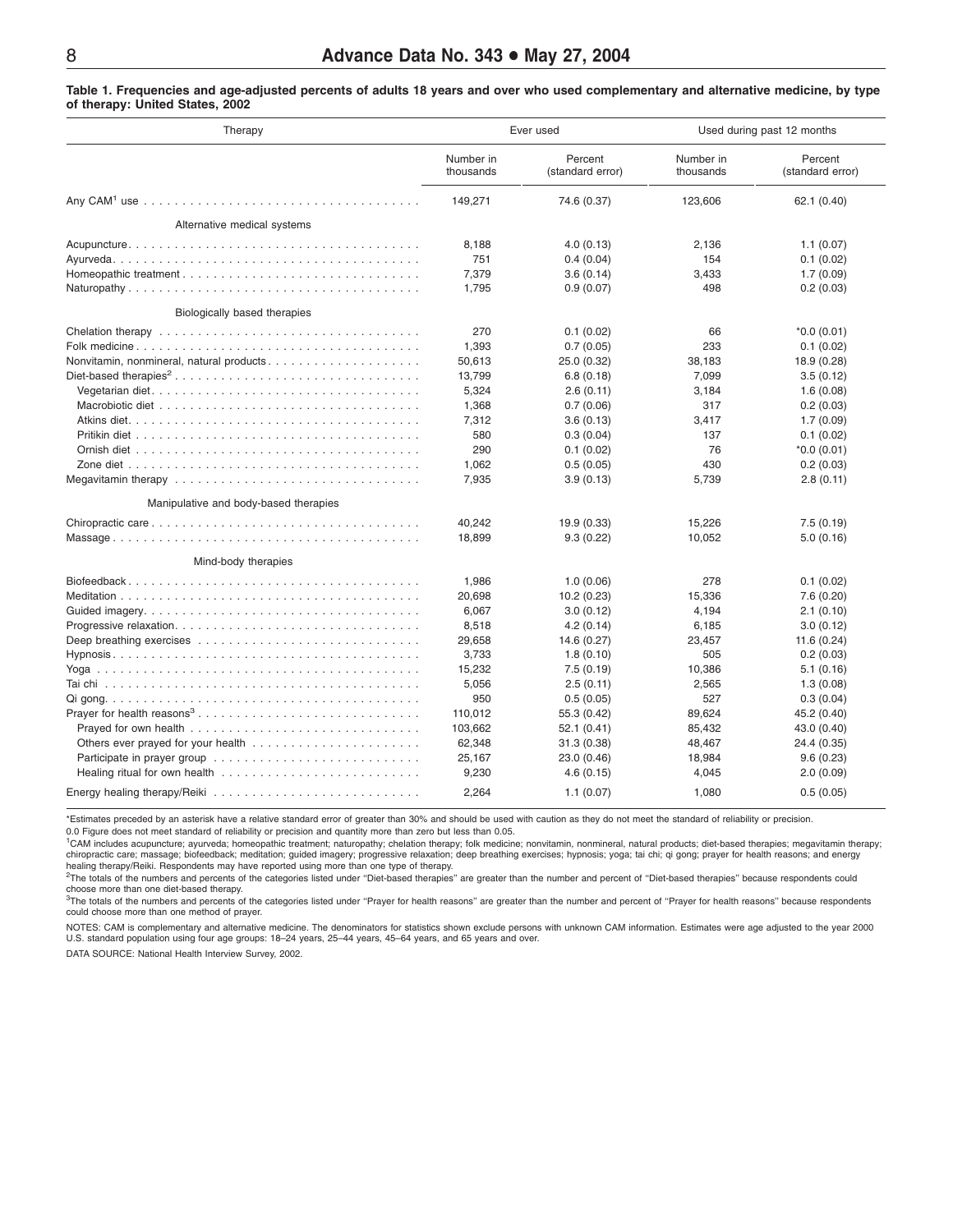<span id="page-7-0"></span>Table 1. Frequencies and age-adjusted percents of adults 18 years and over who used complementary and alternative medicine, by type **of therapy: United States, 2002**

| Therapy                               |                        | Ever used                   |                        | Used during past 12 months  |  |  |
|---------------------------------------|------------------------|-----------------------------|------------------------|-----------------------------|--|--|
|                                       | Number in<br>thousands | Percent<br>(standard error) | Number in<br>thousands | Percent<br>(standard error) |  |  |
|                                       | 149,271                | 74.6 (0.37)                 | 123,606                | 62.1 (0.40)                 |  |  |
| Alternative medical systems           |                        |                             |                        |                             |  |  |
|                                       | 8,188                  | 4.0(0.13)                   | 2,136                  | 1.1(0.07)                   |  |  |
|                                       | 751                    | 0.4(0.04)                   | 154                    | 0.1(0.02)                   |  |  |
|                                       | 7,379                  | 3.6(0.14)                   | 3,433                  | 1.7(0.09)                   |  |  |
|                                       | 1,795                  | 0.9(0.07)                   | 498                    | 0.2(0.03)                   |  |  |
| Biologically based therapies          |                        |                             |                        |                             |  |  |
|                                       | 270                    | 0.1(0.02)                   | 66                     | $*0.0(0.01)$                |  |  |
|                                       | 1,393                  | 0.7(0.05)                   | 233                    | 0.1(0.02)                   |  |  |
|                                       | 50,613                 | 25.0 (0.32)                 | 38,183                 | 18.9 (0.28)                 |  |  |
| Diet-based therapies <sup>2</sup>     | 13,799                 | 6.8(0.18)                   | 7,099                  | 3.5(0.12)                   |  |  |
|                                       | 5,324                  | 2.6(0.11)                   | 3,184                  | 1.6(0.08)                   |  |  |
|                                       | 1,368                  | 0.7(0.06)                   | 317                    | 0.2(0.03)                   |  |  |
|                                       | 7,312                  | 3.6(0.13)                   | 3,417                  | 1.7(0.09)                   |  |  |
|                                       | 580                    | 0.3(0.04)                   | 137                    | 0.1(0.02)                   |  |  |
|                                       | 290                    | 0.1(0.02)                   | 76                     | $*0.0(0.01)$                |  |  |
|                                       | 1,062                  | 0.5(0.05)                   | 430                    | 0.2(0.03)                   |  |  |
|                                       | 7,935                  | 3.9(0.13)                   | 5,739                  | 2.8(0.11)                   |  |  |
| Manipulative and body-based therapies |                        |                             |                        |                             |  |  |
|                                       | 40,242                 | 19.9 (0.33)                 | 15,226                 | 7.5(0.19)                   |  |  |
|                                       | 18,899                 | 9.3(0.22)                   | 10,052                 | 5.0(0.16)                   |  |  |
| Mind-body therapies                   |                        |                             |                        |                             |  |  |
|                                       | 1,986                  | 1.0(0.06)                   | 278                    | 0.1(0.02)                   |  |  |
|                                       | 20,698                 | 10.2(0.23)                  | 15,336                 | 7.6(0.20)                   |  |  |
|                                       | 6,067                  | 3.0(0.12)                   | 4,194                  | 2.1(0.10)                   |  |  |
|                                       | 8,518                  | 4.2(0.14)                   | 6,185                  | 3.0(0.12)                   |  |  |
|                                       | 29,658                 | 14.6 (0.27)                 | 23,457                 | 11.6(0.24)                  |  |  |
|                                       | 3,733                  | 1.8(0.10)                   | 505                    | 0.2(0.03)                   |  |  |
| Yoga                                  | 15,232                 | 7.5(0.19)                   | 10,386                 | 5.1(0.16)                   |  |  |
|                                       | 5,056                  | 2.5(0.11)                   | 2,565                  | 1.3(0.08)                   |  |  |
|                                       | 950                    | 0.5(0.05)                   | 527                    | 0.3(0.04)                   |  |  |
|                                       | 110,012                | 55.3 (0.42)                 | 89,624                 | 45.2 (0.40)                 |  |  |
|                                       | 103,662                | 52.1(0.41)                  | 85,432                 | 43.0 (0.40)                 |  |  |
|                                       | 62,348                 | 31.3(0.38)                  | 48,467                 | 24.4 (0.35)                 |  |  |
|                                       | 25,167                 | 23.0(0.46)                  | 18,984                 | 9.6(0.23)                   |  |  |
|                                       | 9,230                  | 4.6(0.15)                   | 4,045                  | 2.0(0.09)                   |  |  |
|                                       | 2,264                  | 1.1(0.07)                   | 1,080                  | 0.5(0.05)                   |  |  |

\*Estimates preceded by an asterisk have a relative standard error of greater than 30% and should be used with caution as they do not meet the standard of reliability or precision.

0.0 Figure does not meet standard of reliability or precision and quantity more than zero but less than 0.05.

1CAM includes acupuncture; ayurveda; homeopathic treatment; naturopathy; chelation therapy; folk medicine; nonvitamin, nonmineral, natural products; diet-based therapies; megavitamin therapy; chiropractic care; massage; biofeedback; meditation; guided imagery; progressive relaxation; deep breathing exercises; hypnosis; yoga; tai chi; qi gong; prayer for health reasons; and energy<br>healing therapy/Reiki. Responde

choose more than one diet-based therapy.<br><sup>3</sup>The totals of the numbers and percents of the categories listed under "Prayer for health reasons" are greater than the number and percent of "Prayer for health reasons" because r

could choose more than one method of prayer.

NOTES: CAM is complementary and alternative medicine. The denominators for statistics shown exclude persons with unknown CAM information. Estimates were age adjusted to the year 2000 U.S. standard population using four age groups: 18–24 years, 25–44 years, 45–64 years, and 65 years and over.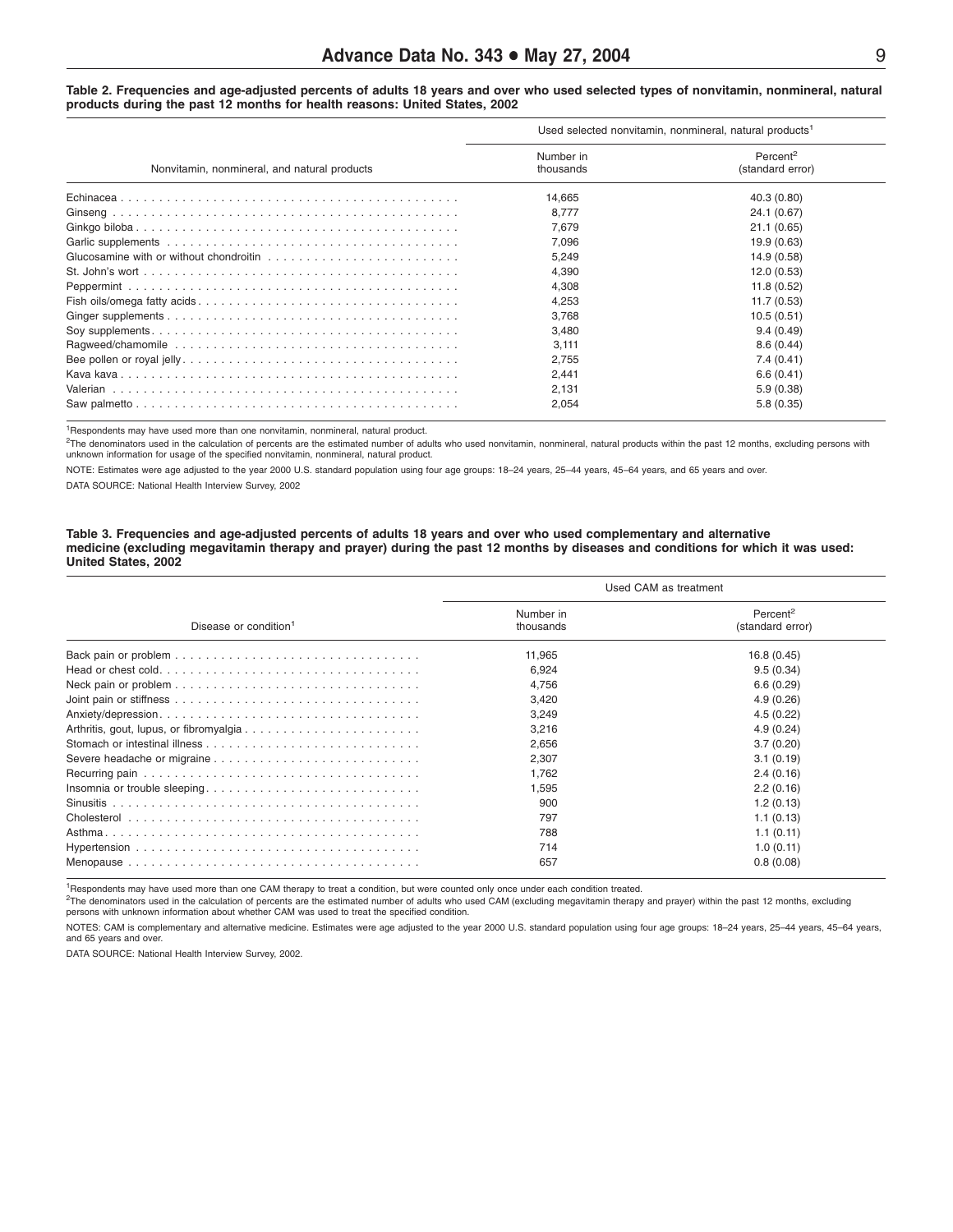#### <span id="page-8-0"></span>Table 2. Frequencies and age-adjusted percents of adults 18 years and over who used selected types of nonvitamin, nonmineral, natural **products during the past 12 months for health reasons: United States, 2002**

|                                              | Used selected nonvitamin, nonmineral, natural products <sup>1</sup> |                                          |  |  |  |
|----------------------------------------------|---------------------------------------------------------------------|------------------------------------------|--|--|--|
| Nonvitamin, nonmineral, and natural products | Number in<br>thousands                                              | Percent <sup>2</sup><br>(standard error) |  |  |  |
|                                              | 14,665                                                              | 40.3 (0.80)                              |  |  |  |
|                                              | 8.777                                                               | 24.1 (0.67)                              |  |  |  |
|                                              | 7.679                                                               | 21.1(0.65)                               |  |  |  |
|                                              | 7,096                                                               | 19.9 (0.63)                              |  |  |  |
|                                              | 5,249                                                               | 14.9 (0.58)                              |  |  |  |
|                                              | 4,390                                                               | 12.0(0.53)                               |  |  |  |
|                                              | 4,308                                                               | 11.8(0.52)                               |  |  |  |
|                                              | 4,253                                                               | 11.7(0.53)                               |  |  |  |
|                                              | 3,768                                                               | 10.5(0.51)                               |  |  |  |
|                                              | 3.480                                                               | 9.4(0.49)                                |  |  |  |
|                                              | 3,111                                                               | 8.6(0.44)                                |  |  |  |
|                                              | 2,755                                                               | 7.4(0.41)                                |  |  |  |
|                                              | 2,441                                                               | 6.6(0.41)                                |  |  |  |
|                                              | 2,131                                                               | 5.9(0.38)                                |  |  |  |
|                                              | 2,054                                                               | 5.8(0.35)                                |  |  |  |

<sup>1</sup>Respondents may have used more than one nonvitamin, nonmineral, natural product.

<sup>2</sup>The denominators used in the calculation of percents are the estimated number of adults who used nonvitamin, nonmineral, natural products within the past 12 months, excluding persons with unknown information for usage of the specified nonvitamin, nonmineral, natural product.

NOTE: Estimates were age adjusted to the year 2000 U.S. standard population using four age groups: 18–24 years, 25–44 years, 45–64 years, and 65 years and over.

DATA SOURCE: National Health Interview Survey, 2002

#### Table 3. Frequencies and age-adjusted percents of adults 18 years and over who used complementary and alternative medicine (excluding megavitamin therapy and prayer) during the past 12 months by diseases and conditions for which it was used: **United States, 2002**

|                                   |                        | Used CAM as treatment                    |
|-----------------------------------|------------------------|------------------------------------------|
| Disease or condition <sup>1</sup> | Number in<br>thousands | Percent <sup>2</sup><br>(standard error) |
|                                   | 11,965                 | 16.8(0.45)                               |
|                                   | 6,924                  | 9.5(0.34)                                |
|                                   | 4,756                  | 6.6(0.29)                                |
|                                   | 3,420                  | 4.9(0.26)                                |
|                                   | 3,249                  | 4.5(0.22)                                |
|                                   | 3,216                  | 4.9(0.24)                                |
|                                   | 2,656                  | 3.7(0.20)                                |
|                                   | 2,307                  | 3.1(0.19)                                |
|                                   | 1,762                  | 2.4(0.16)                                |
|                                   | 1,595                  | 2.2(0.16)                                |
|                                   | 900                    | 1.2(0.13)                                |
|                                   | 797                    | 1.1(0.13)                                |
|                                   | 788                    | 1.1(0.11)                                |
|                                   | 714                    | 1.0(0.11)                                |
|                                   | 657                    | 0.8(0.08)                                |

<sup>1</sup>Respondents may have used more than one CAM therapy to treat a condition, but were counted only once under each condition treated.

<sup>2</sup>The denominators used in the calculation of percents are the estimated number of adults who used CAM (excluding megavitamin therapy and prayer) within the past 12 months, excluding persons with unknown information about whether CAM was used to treat the specified condition.

NOTES: CAM is complementary and alternative medicine. Estimates were age adjusted to the year 2000 U.S. standard population using four age groups: 18-24 years, 25-44 years, 45-64 years, and 65 years and over.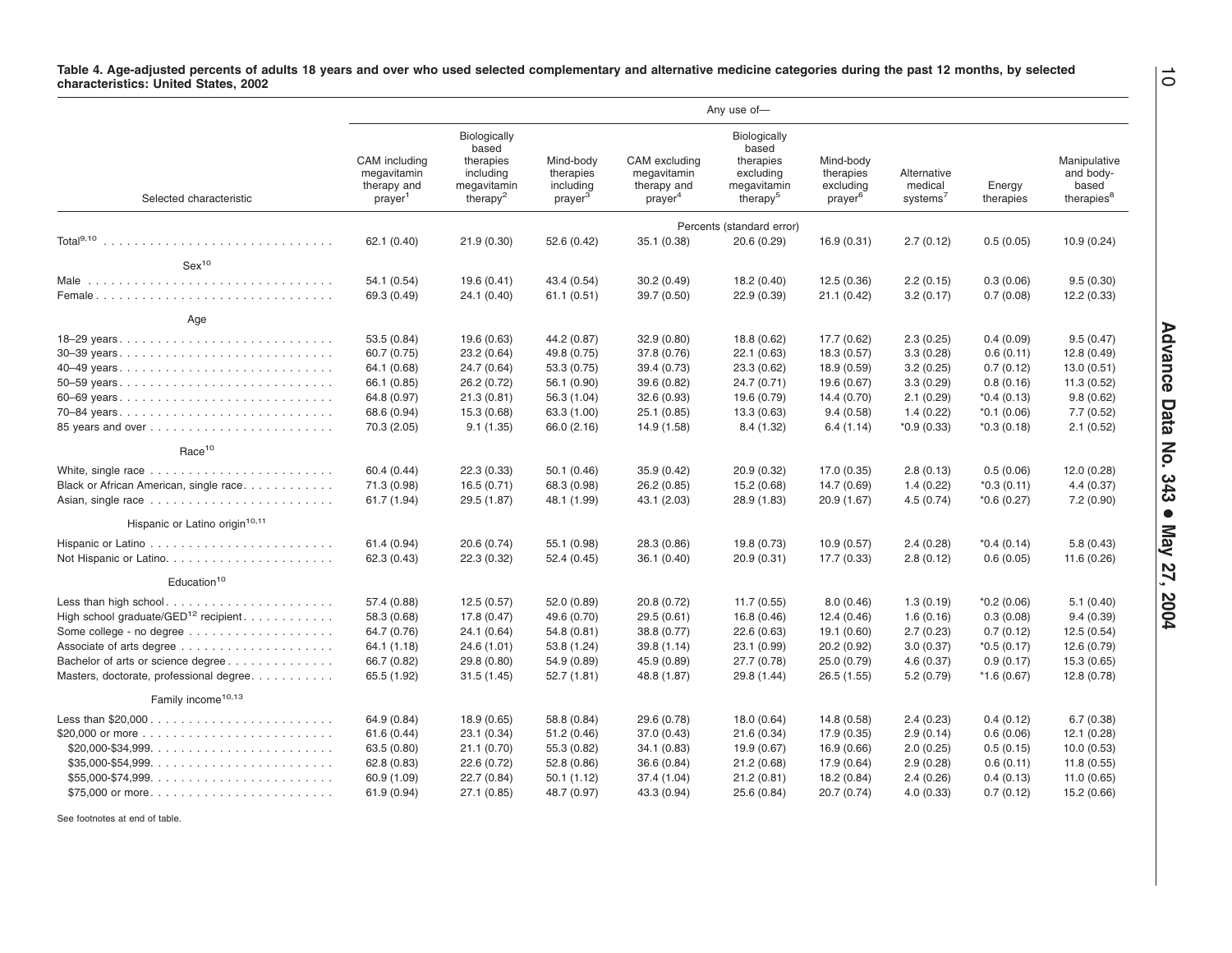#### <span id="page-9-0"></span>Table 4. Age-adjusted percents of adults 18 years and over who used selected complementary and alternative medicine categories during the past 12 months, by selected **characteristics: United States, 2002**

|                                                                       | Any use of-                                                        |                                                                                        |                                                            |                                                                    |                                                                                        |                                                            |                                                |                              |                                                              |
|-----------------------------------------------------------------------|--------------------------------------------------------------------|----------------------------------------------------------------------------------------|------------------------------------------------------------|--------------------------------------------------------------------|----------------------------------------------------------------------------------------|------------------------------------------------------------|------------------------------------------------|------------------------------|--------------------------------------------------------------|
| Selected characteristic                                               | CAM including<br>megavitamin<br>therapy and<br>prayer <sup>1</sup> | Biologically<br>based<br>therapies<br>including<br>megavitamin<br>therapy <sup>2</sup> | Mind-body<br>therapies<br>including<br>prayer <sup>3</sup> | CAM excluding<br>megavitamin<br>therapy and<br>praver <sup>4</sup> | Biologically<br>based<br>therapies<br>excluding<br>megavitamin<br>therapy <sup>5</sup> | Mind-body<br>therapies<br>excluding<br>prayer <sup>6</sup> | Alternative<br>medical<br>systems <sup>7</sup> | Energy<br>therapies          | Manipulative<br>and body-<br>based<br>therapies <sup>8</sup> |
|                                                                       |                                                                    |                                                                                        |                                                            |                                                                    | Percents (standard error)                                                              |                                                            |                                                |                              |                                                              |
|                                                                       | 62.1 (0.40)                                                        | 21.9(0.30)                                                                             | 52.6 (0.42)                                                | 35.1 (0.38)                                                        | 20.6 (0.29)                                                                            | 16.9(0.31)                                                 | 2.7(0.12)                                      | 0.5(0.05)                    | 10.9(0.24)                                                   |
| Sex <sup>10</sup>                                                     |                                                                    |                                                                                        |                                                            |                                                                    |                                                                                        |                                                            |                                                |                              |                                                              |
|                                                                       | 54.1 (0.54)                                                        | 19.6 (0.41)                                                                            | 43.4 (0.54)                                                | 30.2(0.49)                                                         | 18.2 (0.40)                                                                            | 12.5(0.36)                                                 | 2.2(0.15)                                      | 0.3(0.06)                    | 9.5(0.30)                                                    |
| Female                                                                | 69.3 (0.49)                                                        | 24.1 (0.40)                                                                            | 61.1(0.51)                                                 | 39.7 (0.50)                                                        | 22.9 (0.39)                                                                            | 21.1(0.42)                                                 | 3.2(0.17)                                      | 0.7(0.08)                    | 12.2(0.33)                                                   |
| Age                                                                   |                                                                    |                                                                                        |                                                            |                                                                    |                                                                                        |                                                            |                                                |                              |                                                              |
|                                                                       | 53.5 (0.84)                                                        | 19.6 (0.63)                                                                            | 44.2 (0.87)                                                | 32.9(0.80)                                                         | 18.8 (0.62)                                                                            | 17.7 (0.62)                                                | 2.3(0.25)                                      | 0.4(0.09)                    | 9.5(0.47)                                                    |
| 30-39 years                                                           | 60.7 (0.75)                                                        | 23.2 (0.64)                                                                            | 49.8 (0.75)                                                | 37.8 (0.76)                                                        | 22.1 (0.63)                                                                            | 18.3 (0.57)                                                | 3.3(0.28)                                      | 0.6(0.11)                    | 12.8(0.49)                                                   |
| 40-49 years                                                           | 64.1 (0.68)                                                        | 24.7 (0.64)                                                                            | 53.3 (0.75)                                                | 39.4 (0.73)                                                        | 23.3 (0.62)                                                                            | 18.9 (0.59)                                                | 3.2(0.25)                                      | 0.7(0.12)                    | 13.0(0.51)                                                   |
| 50-59 years                                                           | 66.1 (0.85)                                                        | 26.2 (0.72)                                                                            | 56.1 (0.90)                                                | 39.6 (0.82)                                                        | 24.7 (0.71)                                                                            | 19.6 (0.67)                                                | 3.3(0.29)                                      | 0.8(0.16)                    | 11.3(0.52)                                                   |
|                                                                       | 64.8 (0.97)                                                        | 21.3(0.81)                                                                             | 56.3 (1.04)                                                | 32.6 (0.93)                                                        | 19.6 (0.79)                                                                            | 14.4 (0.70)                                                | 2.1(0.29)                                      | $*0.4(0.13)$                 | 9.8(0.62)                                                    |
| 70-84 years                                                           | 68.6 (0.94)                                                        | 15.3 (0.68)                                                                            | 63.3 (1.00)                                                | 25.1(0.85)                                                         | 13.3(0.63)                                                                             | 9.4(0.58)                                                  | 1.4(0.22)                                      | $*0.1(0.06)$                 | 7.7(0.52)                                                    |
|                                                                       | 70.3 (2.05)                                                        | 9.1(1.35)                                                                              | 66.0 (2.16)                                                | 14.9 (1.58)                                                        | 8.4(1.32)                                                                              | 6.4(1.14)                                                  | $*0.9(0.33)$                                   | $*0.3(0.18)$                 | 2.1(0.52)                                                    |
| Race <sup>10</sup>                                                    |                                                                    |                                                                                        |                                                            |                                                                    |                                                                                        |                                                            |                                                |                              |                                                              |
|                                                                       |                                                                    |                                                                                        |                                                            |                                                                    |                                                                                        |                                                            |                                                |                              |                                                              |
| White, single race $\ldots \ldots \ldots \ldots \ldots \ldots \ldots$ | 60.4 (0.44)                                                        | 22.3(0.33)                                                                             | 50.1 (0.46)                                                | 35.9 (0.42)                                                        | 20.9 (0.32)                                                                            | 17.0 (0.35)                                                | 2.8(0.13)                                      | 0.5(0.06)                    | 12.0 (0.28)                                                  |
| Black or African American, single race                                | 71.3 (0.98)<br>61.7 (1.94)                                         | 16.5(0.71)<br>29.5 (1.87)                                                              | 68.3 (0.98)<br>48.1 (1.99)                                 | 26.2 (0.85)<br>43.1 (2.03)                                         | 15.2 (0.68)<br>28.9 (1.83)                                                             | 14.7 (0.69)<br>20.9 (1.67)                                 | 1.4(0.22)<br>4.5(0.74)                         | $*0.3(0.11)$<br>$*0.6(0.27)$ | 4.4(0.37)<br>7.2(0.90)                                       |
|                                                                       |                                                                    |                                                                                        |                                                            |                                                                    |                                                                                        |                                                            |                                                |                              |                                                              |
| Hispanic or Latino origin <sup>10,11</sup>                            |                                                                    |                                                                                        |                                                            |                                                                    |                                                                                        |                                                            |                                                |                              |                                                              |
|                                                                       | 61.4 (0.94)                                                        | 20.6 (0.74)                                                                            | 55.1 (0.98)                                                | 28.3 (0.86)                                                        | 19.8 (0.73)                                                                            | 10.9(0.57)                                                 | 2.4(0.28)                                      | $*0.4(0.14)$                 | 5.8(0.43)                                                    |
|                                                                       | 62.3 (0.43)                                                        | 22.3 (0.32)                                                                            | 52.4 (0.45)                                                | 36.1 (0.40)                                                        | 20.9 (0.31)                                                                            | 17.7 (0.33)                                                | 2.8(0.12)                                      | 0.6(0.05)                    | 11.6(0.26)                                                   |
| Education <sup>10</sup>                                               |                                                                    |                                                                                        |                                                            |                                                                    |                                                                                        |                                                            |                                                |                              |                                                              |
| Less than high school                                                 | 57.4 (0.88)                                                        | 12.5(0.57)                                                                             | 52.0 (0.89)                                                | 20.8 (0.72)                                                        | 11.7(0.55)                                                                             | 8.0(0.46)                                                  | 1.3(0.19)                                      | $*0.2(0.06)$                 | 5.1(0.40)                                                    |
| High school graduate/GED <sup>12</sup> recipient.                     | 58.3 (0.68)                                                        | 17.8(0.47)                                                                             | 49.6 (0.70)                                                | 29.5 (0.61)                                                        | 16.8 (0.46)                                                                            | 12.4(0.46)                                                 | 1.6(0.16)                                      | 0.3(0.08)                    | 9.4(0.39)                                                    |
|                                                                       | 64.7 (0.76)                                                        | 24.1 (0.64)                                                                            | 54.8 (0.81)                                                | 38.8 (0.77)                                                        | 22.6 (0.63)                                                                            | 19.1 (0.60)                                                | 2.7(0.23)                                      | 0.7(0.12)                    | 12.5(0.54)                                                   |
|                                                                       | 64.1 (1.18)                                                        | 24.6 (1.01)                                                                            | 53.8 (1.24)                                                | 39.8 (1.14)                                                        | 23.1 (0.99)                                                                            | 20.2 (0.92)                                                | 3.0(0.37)                                      | $*0.5(0.17)$                 | 12.6 (0.79)                                                  |
| Bachelor of arts or science degree                                    | 66.7 (0.82)                                                        | 29.8 (0.80)                                                                            | 54.9 (0.89)                                                | 45.9 (0.89)                                                        | 27.7 (0.78)                                                                            | 25.0 (0.79)                                                | 4.6(0.37)                                      | 0.9(0.17)                    | 15.3(0.65)                                                   |
| Masters, doctorate, professional degree.                              | 65.5 (1.92)                                                        | 31.5(1.45)                                                                             | 52.7 (1.81)                                                | 48.8 (1.87)                                                        | 29.8 (1.44)                                                                            | 26.5 (1.55)                                                | 5.2(0.79)                                      | $*1.6(0.67)$                 | 12.8 (0.78)                                                  |
| Family income <sup>10,13</sup>                                        |                                                                    |                                                                                        |                                                            |                                                                    |                                                                                        |                                                            |                                                |                              |                                                              |
|                                                                       | 64.9 (0.84)                                                        | 18.9 (0.65)                                                                            | 58.8 (0.84)                                                | 29.6 (0.78)                                                        | 18.0 (0.64)                                                                            | 14.8 (0.58)                                                | 2.4(0.23)                                      | 0.4(0.12)                    | 6.7(0.38)                                                    |
|                                                                       | 61.6 (0.44)                                                        | 23.1 (0.34)                                                                            | 51.2 (0.46)                                                | 37.0 (0.43)                                                        | 21.6(0.34)                                                                             | 17.9 (0.35)                                                | 2.9(0.14)                                      | 0.6(0.06)                    | 12.1(0.28)                                                   |
| $$20,000 - $34,999.$                                                  | 63.5 (0.80)                                                        | 21.1(0.70)                                                                             | 55.3 (0.82)                                                | 34.1 (0.83)                                                        | 19.9 (0.67)                                                                            | 16.9 (0.66)                                                | 2.0(0.25)                                      | 0.5(0.15)                    | 10.0(0.53)                                                   |
|                                                                       | 62.8 (0.83)                                                        | 22.6 (0.72)                                                                            | 52.8 (0.86)                                                | 36.6 (0.84)                                                        | 21.2 (0.68)                                                                            | 17.9 (0.64)                                                | 2.9(0.28)                                      | 0.6(0.11)                    | 11.8(0.55)                                                   |
| $$55,000 - $74,999. \ldots \ldots \ldots \ldots \ldots \ldots \ldots$ | 60.9 (1.09)                                                        | 22.7 (0.84)                                                                            | 50.1(1.12)                                                 | 37.4 (1.04)                                                        | 21.2(0.81)                                                                             | 18.2 (0.84)                                                | 2.4(0.26)                                      | 0.4(0.13)                    | 11.0(0.65)                                                   |
| \$75.000 or more                                                      | 61.9 (0.94)                                                        | 27.1 (0.85)                                                                            | 48.7 (0.97)                                                | 43.3 (0.94)                                                        | 25.6 (0.84)                                                                            | 20.7 (0.74)                                                | 4.0(0.33)                                      | 0.7(0.12)                    | 15.2(0.66)                                                   |

See footnotes at end of table.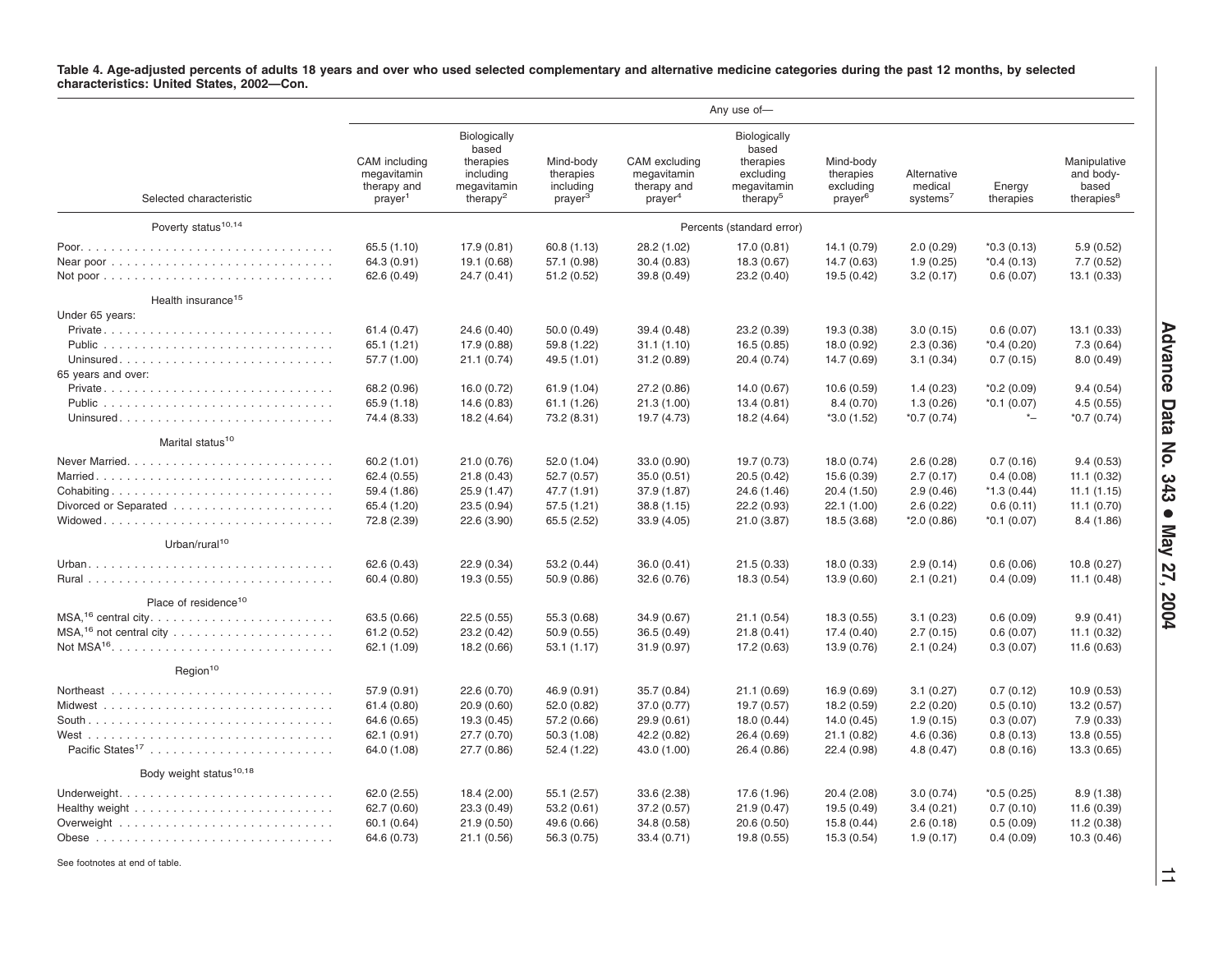Table 4. Age-adjusted percents of adults 18 years and over who used selected complementary and alternative medicine categories during the past 12 months, by selected **characteristics: United States, 2002—Con.**

|                                     |                                                                    |                                                                                        |                                                            |                                                                    | Any use of-                                                                            |                                                            |                                                |                     |                                                              |
|-------------------------------------|--------------------------------------------------------------------|----------------------------------------------------------------------------------------|------------------------------------------------------------|--------------------------------------------------------------------|----------------------------------------------------------------------------------------|------------------------------------------------------------|------------------------------------------------|---------------------|--------------------------------------------------------------|
| Selected characteristic             | CAM including<br>megavitamin<br>therapy and<br>prayer <sup>1</sup> | Biologically<br>based<br>therapies<br>including<br>megavitamin<br>therapy <sup>2</sup> | Mind-body<br>therapies<br>including<br>prayer <sup>3</sup> | CAM excluding<br>megavitamin<br>therapy and<br>prayer <sup>4</sup> | Biologically<br>based<br>therapies<br>excluding<br>megavitamin<br>therapy <sup>5</sup> | Mind-body<br>therapies<br>excluding<br>prayer <sup>6</sup> | Alternative<br>medical<br>systems <sup>7</sup> | Energy<br>therapies | Manipulative<br>and body-<br>based<br>therapies <sup>8</sup> |
| Poverty status <sup>10,14</sup>     |                                                                    | Percents (standard error)                                                              |                                                            |                                                                    |                                                                                        |                                                            |                                                |                     |                                                              |
|                                     | 65.5 (1.10)                                                        | 17.9(0.81)                                                                             | 60.8 (1.13)                                                | 28.2 (1.02)                                                        | 17.0 (0.81)                                                                            | 14.1 (0.79)                                                | 2.0(0.29)                                      | $*0.3(0.13)$        | 5.9(0.52)                                                    |
|                                     | 64.3 (0.91)                                                        | 19.1 (0.68)                                                                            | 57.1 (0.98)                                                | 30.4(0.83)                                                         | 18.3 (0.67)                                                                            | 14.7 (0.63)                                                | 1.9(0.25)                                      | $*0.4(0.13)$        | 7.7(0.52)                                                    |
|                                     | 62.6 (0.49)                                                        | 24.7 (0.41)                                                                            | 51.2(0.52)                                                 | 39.8 (0.49)                                                        | 23.2 (0.40)                                                                            | 19.5 (0.42)                                                | 3.2(0.17)                                      | 0.6(0.07)           | 13.1(0.33)                                                   |
| Health insurance <sup>15</sup>      |                                                                    |                                                                                        |                                                            |                                                                    |                                                                                        |                                                            |                                                |                     |                                                              |
| Under 65 years:                     |                                                                    |                                                                                        |                                                            |                                                                    |                                                                                        |                                                            |                                                |                     |                                                              |
| Private                             | 61.4 (0.47)                                                        | 24.6 (0.40)                                                                            | 50.0 (0.49)                                                | 39.4 (0.48)                                                        | 23.2 (0.39)                                                                            | 19.3 (0.38)                                                | 3.0(0.15)                                      | 0.6(0.07)           | 13.1(0.33)                                                   |
|                                     | 65.1 (1.21)                                                        | 17.9 (0.88)                                                                            | 59.8 (1.22)                                                | 31.1(1.10)                                                         | 16.5(0.85)                                                                             | 18.0 (0.92)                                                | 2.3(0.36)                                      | $*0.4(0.20)$        | 7.3(0.64)                                                    |
|                                     | 57.7 (1.00)                                                        | 21.1 (0.74)                                                                            | 49.5 (1.01)                                                | 31.2(0.89)                                                         | 20.4 (0.74)                                                                            | 14.7 (0.69)                                                | 3.1(0.34)                                      | 0.7(0.15)           | 8.0(0.49)                                                    |
| 65 years and over:                  |                                                                    |                                                                                        |                                                            |                                                                    |                                                                                        |                                                            |                                                |                     |                                                              |
| Private                             | 68.2 (0.96)                                                        | 16.0 (0.72)                                                                            | 61.9 (1.04)                                                | 27.2 (0.86)                                                        | 14.0 (0.67)                                                                            | 10.6(0.59)                                                 | 1.4(0.23)                                      | $*0.2(0.09)$        | 9.4(0.54)                                                    |
|                                     | 65.9 (1.18)                                                        | 14.6 (0.83)                                                                            | 61.1 (1.26)                                                | 21.3(1.00)                                                         | 13.4(0.81)                                                                             | 8.4(0.70)                                                  | 1.3(0.26)                                      | $*0.1(0.07)$        | 4.5(0.55)                                                    |
|                                     | 74.4 (8.33)                                                        | 18.2 (4.64)                                                                            | 73.2 (8.31)                                                | 19.7 (4.73)                                                        | 18.2 (4.64)                                                                            | *3.0 (1.52)                                                | $*0.7(0.74)$                                   | $\sim$              | $*0.7(0.74)$                                                 |
| Marital status <sup>10</sup>        |                                                                    |                                                                                        |                                                            |                                                                    |                                                                                        |                                                            |                                                |                     |                                                              |
|                                     | 60.2(1.01)                                                         | 21.0 (0.76)                                                                            | 52.0 (1.04)                                                | 33.0 (0.90)                                                        | 19.7 (0.73)                                                                            | 18.0 (0.74)                                                | 2.6(0.28)                                      | 0.7(0.16)           | 9.4(0.53)                                                    |
| Married                             | 62.4 (0.55)                                                        | 21.8 (0.43)                                                                            | 52.7 (0.57)                                                | 35.0(0.51)                                                         | 20.5 (0.42)                                                                            | 15.6 (0.39)                                                | 2.7(0.17)                                      | 0.4(0.08)           | 11.1(0.32)                                                   |
| Cohabiting                          | 59.4 (1.86)                                                        | 25.9 (1.47)                                                                            | 47.7 (1.91)                                                | 37.9 (1.87)                                                        | 24.6 (1.46)                                                                            | 20.4 (1.50)                                                | 2.9(0.46)                                      | $*1.3(0.44)$        | 11.1(1.15)                                                   |
|                                     | 65.4 (1.20)                                                        | 23.5 (0.94)                                                                            | 57.5 (1.21)                                                | 38.8 (1.15)                                                        | 22.2 (0.93)                                                                            | 22.1 (1.00)                                                | 2.6(0.22)                                      | 0.6(0.11)           | 11.1(0.70)                                                   |
|                                     | 72.8 (2.39)                                                        | 22.6 (3.90)                                                                            | 65.5 (2.52)                                                | 33.9 (4.05)                                                        | 21.0(3.87)                                                                             | 18.5 (3.68)                                                | *2.0 (0.86)                                    | $*0.1(0.07)$        | 8.4(1.86)                                                    |
| Urban/rural <sup>10</sup>           |                                                                    |                                                                                        |                                                            |                                                                    |                                                                                        |                                                            |                                                |                     |                                                              |
|                                     | 62.6 (0.43)                                                        | 22.9 (0.34)                                                                            | 53.2 (0.44)                                                | 36.0(0.41)                                                         | 21.5(0.33)                                                                             | 18.0 (0.33)                                                | 2.9(0.14)                                      | 0.6(0.06)           | 10.8(0.27)                                                   |
|                                     | 60.4 (0.80)                                                        | 19.3 (0.55)                                                                            | 50.9 (0.86)                                                | 32.6 (0.76)                                                        | 18.3 (0.54)                                                                            | 13.9 (0.60)                                                | 2.1(0.21)                                      | 0.4(0.09)           | 11.1(0.48)                                                   |
| Place of residence <sup>10</sup>    |                                                                    |                                                                                        |                                                            |                                                                    |                                                                                        |                                                            |                                                |                     |                                                              |
|                                     | 63.5 (0.66)                                                        | 22.5 (0.55)                                                                            | 55.3 (0.68)                                                | 34.9 (0.67)                                                        | 21.1(0.54)                                                                             | 18.3 (0.55)                                                | 3.1(0.23)                                      | 0.6(0.09)           | 9.9(0.41)                                                    |
|                                     | 61.2(0.52)                                                         | 23.2 (0.42)                                                                            | 50.9(0.55)                                                 | 36.5 (0.49)                                                        | 21.8(0.41)                                                                             | 17.4 (0.40)                                                | 2.7(0.15)                                      | 0.6(0.07)           | 11.1(0.32)                                                   |
|                                     | 62.1 (1.09)                                                        | 18.2 (0.66)                                                                            | 53.1(1.17)                                                 | 31.9(0.97)                                                         | 17.2 (0.63)                                                                            | 13.9 (0.76)                                                | 2.1(0.24)                                      | 0.3(0.07)           | 11.6(0.63)                                                   |
| Region <sup>10</sup>                |                                                                    |                                                                                        |                                                            |                                                                    |                                                                                        |                                                            |                                                |                     |                                                              |
|                                     | 57.9 (0.91)                                                        | 22.6 (0.70)                                                                            | 46.9 (0.91)                                                | 35.7 (0.84)                                                        | 21.1(0.69)                                                                             | 16.9 (0.69)                                                | 3.1(0.27)                                      | 0.7(0.12)           | 10.9(0.53)                                                   |
|                                     | 61.4 (0.80)                                                        | 20.9 (0.60)                                                                            | 52.0 (0.82)                                                | 37.0 (0.77)                                                        | 19.7 (0.57)                                                                            | 18.2 (0.59)                                                | 2.2(0.20)                                      | 0.5(0.10)           | 13.2 (0.57)                                                  |
|                                     | 64.6 (0.65)                                                        | 19.3 (0.45)                                                                            | 57.2 (0.66)                                                | 29.9 (0.61)                                                        | 18.0 (0.44)                                                                            | 14.0 (0.45)                                                | 1.9(0.15)                                      | 0.3(0.07)           | 7.9(0.33)                                                    |
|                                     | 62.1 (0.91)                                                        | 27.7 (0.70)                                                                            | 50.3(1.08)                                                 | 42.2 (0.82)                                                        | 26.4 (0.69)                                                                            | 21.1 (0.82)                                                | 4.6(0.36)                                      | 0.8(0.13)           | 13.8 (0.55)                                                  |
|                                     | 64.0 (1.08)                                                        | 27.7 (0.86)                                                                            | 52.4 (1.22)                                                | 43.0 (1.00)                                                        | 26.4 (0.86)                                                                            | 22.4 (0.98)                                                | 4.8(0.47)                                      | 0.8(0.16)           | 13.3(0.65)                                                   |
| Body weight status <sup>10,18</sup> |                                                                    |                                                                                        |                                                            |                                                                    |                                                                                        |                                                            |                                                |                     |                                                              |
|                                     | 62.0 (2.55)                                                        | 18.4 (2.00)                                                                            | 55.1 (2.57)                                                | 33.6 (2.38)                                                        | 17.6 (1.96)                                                                            | 20.4 (2.08)                                                | 3.0(0.74)                                      | $*0.5(0.25)$        | 8.9(1.38)                                                    |
|                                     | 62.7 (0.60)                                                        | 23.3 (0.49)                                                                            | 53.2(0.61)                                                 | 37.2 (0.57)                                                        | 21.9(0.47)                                                                             | 19.5 (0.49)                                                | 3.4(0.21)                                      | 0.7(0.10)           | 11.6 (0.39)                                                  |
|                                     | 60.1 (0.64)                                                        | 21.9 (0.50)                                                                            | 49.6 (0.66)                                                | 34.8 (0.58)                                                        | 20.6 (0.50)                                                                            | 15.8 (0.44)                                                | 2.6(0.18)                                      | 0.5(0.09)           | 11.2(0.38)                                                   |
|                                     | 64.6 (0.73)                                                        | 21.1 (0.56)                                                                            | 56.3 (0.75)                                                | 33.4 (0.71)                                                        | 19.8 (0.55)                                                                            | 15.3 (0.54)                                                | 1.9(0.17)                                      | 0.4(0.09)           | 10.3(0.46)                                                   |

See footnotes at end of table.

 $\overrightarrow{1}$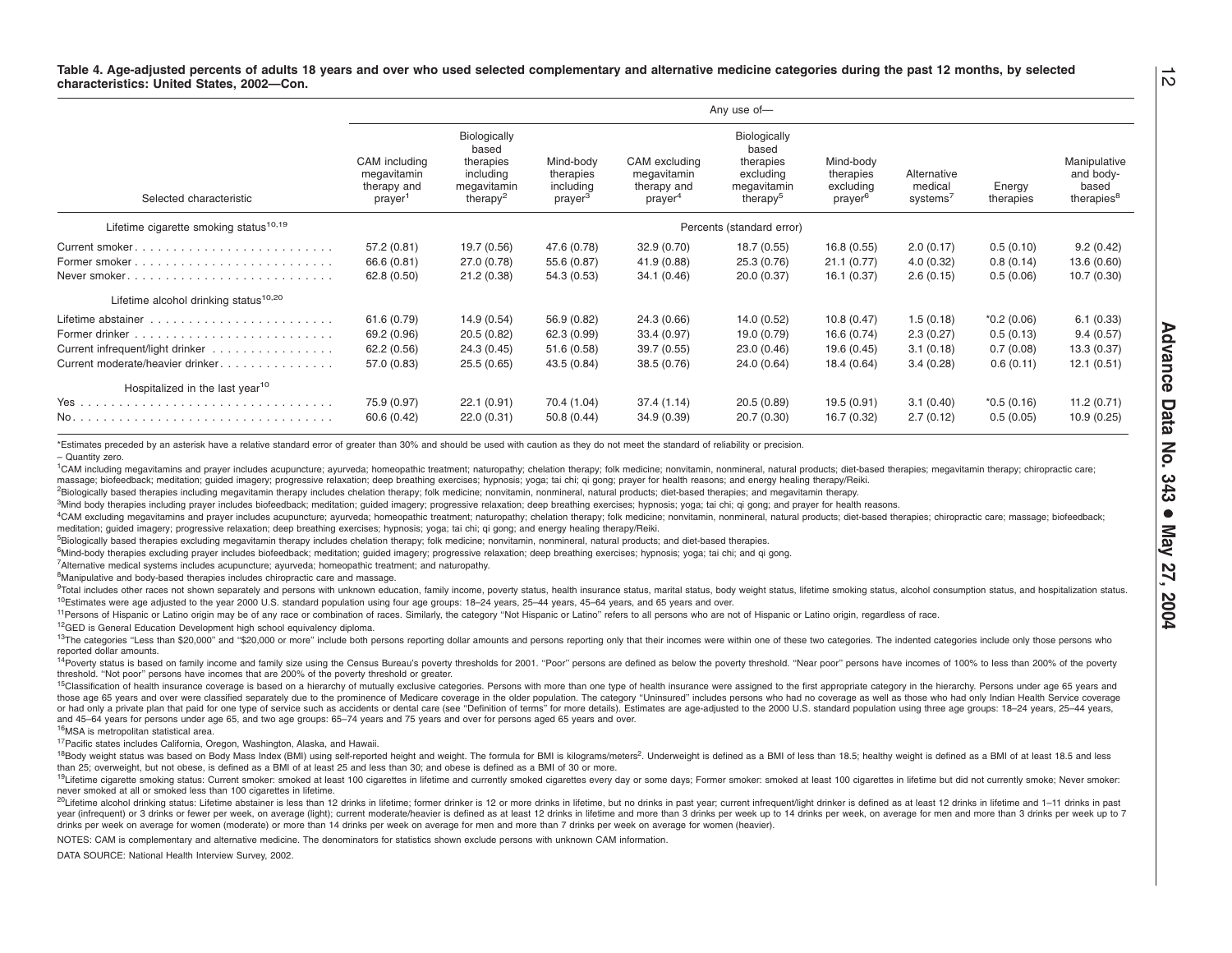#### <span id="page-11-0"></span>Table 4. Age-adjusted percents of adults 18 years and over who used selected complementary and alternative medicine categories during the past 12 months, by selected **characteristics: United States, 2002—Con.**

|                                                                       | Any use of-                                                        |                                                                                        |                                                            |                                                                    |                                                                                        |                                                            |                                                  |                                                     |                                                              |
|-----------------------------------------------------------------------|--------------------------------------------------------------------|----------------------------------------------------------------------------------------|------------------------------------------------------------|--------------------------------------------------------------------|----------------------------------------------------------------------------------------|------------------------------------------------------------|--------------------------------------------------|-----------------------------------------------------|--------------------------------------------------------------|
| Selected characteristic                                               | CAM including<br>megavitamin<br>therapy and<br>prayer <sup>1</sup> | Biologically<br>based<br>therapies<br>including<br>megavitamin<br>therapy <sup>2</sup> | Mind-body<br>therapies<br>including<br>prayer <sup>3</sup> | CAM excluding<br>megavitamin<br>therapy and<br>prayer <sup>4</sup> | Biologically<br>based<br>therapies<br>excluding<br>megavitamin<br>therapy <sup>5</sup> | Mind-body<br>therapies<br>excluding<br>prayer <sup>6</sup> | Alternative<br>medical<br>systems <sup>7</sup>   | Energy<br>therapies                                 | Manipulative<br>and body-<br>based<br>therapies <sup>8</sup> |
| Lifetime cigarette smoking status <sup>10,19</sup>                    |                                                                    |                                                                                        |                                                            |                                                                    | Percents (standard error)                                                              |                                                            |                                                  |                                                     |                                                              |
| Current smoker                                                        | 57.2 (0.81)<br>66.6 (0.81)<br>62.8 (0.50)                          | 19.7 (0.56)<br>27.0 (0.78)<br>21.2(0.38)                                               | 47.6 (0.78)<br>55.6 (0.87)<br>54.3 (0.53)                  | 32.9(0.70)<br>41.9 (0.88)<br>34.1 (0.46)                           | 18.7 (0.55)<br>25.3 (0.76)<br>20.0 (0.37)                                              | 16.8(0.55)<br>21.1(0.77)<br>16.1(0.37)                     | 2.0(0.17)<br>4.0(0.32)<br>2.6(0.15)              | 0.5(0.10)<br>0.8(0.14)<br>0.5(0.06)                 | 9.2(0.42)<br>13.6 (0.60)<br>10.7(0.30)                       |
| Lifetime alcohol drinking status <sup>10,20</sup>                     |                                                                    |                                                                                        |                                                            |                                                                    |                                                                                        |                                                            |                                                  |                                                     |                                                              |
| Current infrequent/light drinker<br>Current moderate/heavier drinker. | 61.6 (0.79)<br>69.2 (0.96)<br>62.2 (0.56)<br>57.0 (0.83)           | 14.9 (0.54)<br>20.5(0.82)<br>24.3 (0.45)<br>25.5(0.65)                                 | 56.9 (0.82)<br>62.3 (0.99)<br>51.6 (0.58)<br>43.5 (0.84)   | 24.3 (0.66)<br>33.4 (0.97)<br>39.7 (0.55)<br>38.5 (0.76)           | 14.0 (0.52)<br>19.0 (0.79)<br>23.0 (0.46)<br>24.0 (0.64)                               | 10.8(0.47)<br>16.6 (0.74)<br>19.6 (0.45)<br>18.4 (0.64)    | 1.5(0.18)<br>2.3(0.27)<br>3.1(0.18)<br>3.4(0.28) | $*0.2(0.06)$<br>0.5(0.13)<br>0.7(0.08)<br>0.6(0.11) | 6.1(0.33)<br>9.4(0.57)<br>13.3 (0.37)<br>12.1(0.51)          |
| Hospitalized in the last year <sup>10</sup>                           | 75.9 (0.97)<br>60.6 (0.42)                                         | 22.1(0.91)<br>22.0(0.31)                                                               | 70.4 (1.04)<br>50.8 (0.44)                                 | 37.4 (1.14)<br>34.9(0.39)                                          | 20.5(0.89)<br>20.7 (0.30)                                                              | 19.5 (0.91)<br>16.7 (0.32)                                 | 3.1(0.40)<br>2.7(0.12)                           | $*0.5(0.16)$<br>0.5(0.05)                           | 11.2(0.71)<br>10.9(0.25)                                     |

\*Estimates preceded by an asterisk have <sup>a</sup> relative standard error of greater than 30% and should be used with caution as they do not meet the standard of reliability or precision.

– Quantity zero.

<sup>1</sup>CAM including megavitamins and prayer includes acupuncture; ayurveda; homeopathic treatment; naturopathy; chelation therapy; folk medicine; nonvitamin, nonmineral, natural products; diet-based therapies; megavitamin the

massage; biofeedback; meditation; guided imagery; progressive relaxation; deep breathing exercises; hypnosis; yoga; tai chi; qi gong; prayer for health reasons; and energy healing therapy/Reiki.

<sup>2</sup>Biologically based therapies including megavitamin therapy includes chelation therapy; folk medicine; nonvitamin, nonmineral, natural products; diet-based therapies; and megavitamin therapy.

3Mind body therapies including prayer includes biofeedback; meditation; guided imagery; progressive relaxation; deep breathing exercises; hypnosis; yoga; tai chi; qi gong; and prayer for health reasons.

<sup>4</sup>CAM excluding megavitamins and prayer includes acupuncture; ayurveda; homeopathic treatment; naturopathy; chelation therapy; folk medicine; nonvitamin, nonmineral, natural products; diet-based therapies; chiropractic ca meditation; guided imagery; progressive relaxation; deep breathing exercises; hypnosis; yoga; tai chi; qi gong; and energy healing therapy/Reiki.

<sup>5</sup>Biologically based therapies excluding megavitamin therapy includes chelation therapy; folk medicine; nonvitamin, nonmineral, natural products; and diet-based therapies.

<sup>6</sup>Mind-body therapies excluding prayer includes biofeedback; meditation; guided imagery; progressive relaxation; deep breathing exercises; hypnosis; yoga; tai chi; and qi gong.

7Alternative medical systems includes acupuncture; ayurveda; homeopathic treatment; and naturopathy.

<sup>8</sup>Manipulative and body-based therapies includes chiropractic care and massage.

9Total includes other races not shown separately and persons with unknown education, family income, poverty status, health insurance status, marital status, body weight status, lifetime smoking status, alcohol consumption 10Estimates were age adjusted to the year <sup>2000</sup> U.S. standard population using four age groups: 18–24 years, 25–44 years, 45–64 years, and <sup>65</sup> years and over.

<sup>11</sup> Persons of Hispanic or Latino origin may be of any race or combination of races. Similarly, the category "Not Hispanic or Latino" refers to all persons who are not of Hispanic or Latino origin, regardless of race.

<sup>12</sup>GED is General Education Development high school equivalency diploma.

<sup>13</sup>The categories "Less than \$20,000" and "\$20,000 or more" include both persons reporting dollar amounts and persons reporting only that their incomes were within one of these two categories. The indented categories incl reported dollar amounts.

<sup>14</sup>Poverty status is based on family income and family size using the Census Bureau's poverty thresholds for 2001. "Poor" persons are defined as below the poverty threshold. "Near poor" persons have incomes of 100% to les threshold. ''Not poor'' persons have incomes that are 200% of the poverty threshold or greater.

<sup>15</sup>Classification of health insurance coverage is based on a hierarchy of mutually exclusive categories. Persons with more than one type of health insurance were assigned to the first appropriate category in the hierarchy those age 65 years and over were classified separately due to the prominence of Medicare coverage in the older population. The category "Uninsured" includes persons who had no coverage as well as those who had only Indian or had only a private plan that paid for one type of service such as accidents or dental care (see "Definition of terms" for more details). Estimates are age-adjusted to the 2000 U.S. standard population using three age gr and 45–64 years for persons under age 65, and two age groups: 65–74 years and 75 years and over for persons aged 65 years and over.

<sup>16</sup>MSA is metropolitan statistical area.

<sup>17</sup> Pacific states includes California, Oregon, Washington, Alaska, and Hawaii.

<sup>18</sup>Body weight status was based on Body Mass Index (BMI) using self-reported height and weight. The formula for BMI is kilograms/meters<sup>2</sup>. Underweight is defined as a BMI of less than 18.5; healthy weight is defined as a than 25; overweight, but not obese, is defined as <sup>a</sup> BMI of at least 25 and less than 30; and obese is defined as <sup>a</sup> BMI of 30 or more.

<sup>19</sup>Lifetime cigarette smoking status: Current smoker: smoked at least 100 cigarettes in lifetime and currently smoked cigarettes every day or some days; Former smoker: smoked at least 100 cigarettes in lifetime but did no never smoked at all or smoked less than 100 cigarettes in lifetime.

<sup>20</sup>Lifetime alcohol drinking status: Lifetime abstainer is less than 12 drinks in lifetime; former drinks is 12 or more drinks in lifetime, but no drinks in past year; current infrequent/light drinker is defined as at lea year (infrequent) or 3 drinks or fewer per week, on average (light); current moderate/heavier is defined as at least 12 drinks in lifetime and more than 3 drinks per week up to 14 drinks per week, on average for men and mo drinks per week on average for women (moderate) or more than 14 drinks per week on average for men and more than 7 drinks per week on average for women (heavier).

NOTES: CAM is complementary and alternative medicine. The denominators for statistics shown exclude persons with unknown CAM information.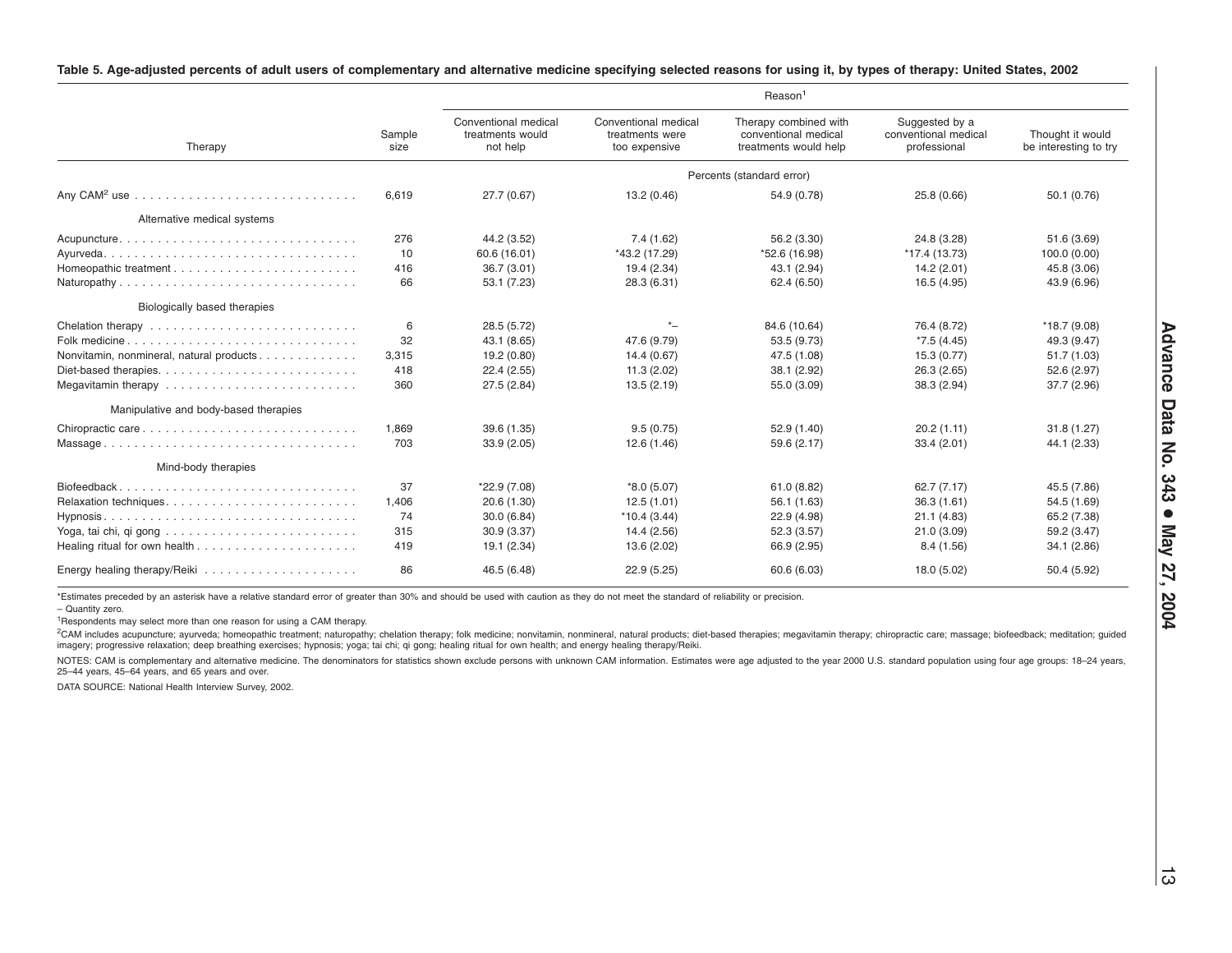#### <span id="page-12-0"></span>Table 5. Age-adjusted percents of adult users of complementary and alternative medicine specifying selected reasons for using it, by types of therapy: United States, 2002

|                                                                                                  |                |                                                      |                                                          | Reason                                                                 |                                                        |                                           |
|--------------------------------------------------------------------------------------------------|----------------|------------------------------------------------------|----------------------------------------------------------|------------------------------------------------------------------------|--------------------------------------------------------|-------------------------------------------|
| Therapy                                                                                          | Sample<br>size | Conventional medical<br>treatments would<br>not help | Conventional medical<br>treatments were<br>too expensive | Therapy combined with<br>conventional medical<br>treatments would help | Suggested by a<br>conventional medical<br>professional | Thought it would<br>be interesting to try |
|                                                                                                  |                |                                                      |                                                          | Percents (standard error)                                              |                                                        |                                           |
| Any CAM <sup>2</sup> use $\ldots \ldots \ldots \ldots \ldots \ldots \ldots \ldots \ldots \ldots$ | 6,619          | 27.7 (0.67)                                          | 13.2 (0.46)                                              | 54.9 (0.78)                                                            | 25.8 (0.66)                                            | 50.1(0.76)                                |
| Alternative medical systems                                                                      |                |                                                      |                                                          |                                                                        |                                                        |                                           |
|                                                                                                  | 276            | 44.2 (3.52)                                          | 7.4(1.62)                                                | 56.2 (3.30)                                                            | 24.8 (3.28)                                            | 51.6 (3.69)                               |
|                                                                                                  | 10             | 60.6 (16.01)                                         | *43.2 (17.29)                                            | $*52.6(16.98)$                                                         | $*17.4(13.73)$                                         | 100.0 (0.00)                              |
|                                                                                                  | 416            | 36.7(3.01)                                           | 19.4 (2.34)                                              | 43.1 (2.94)                                                            | 14.2 (2.01)                                            | 45.8 (3.06)                               |
| Naturopathy                                                                                      | 66             | 53.1 (7.23)                                          | 28.3 (6.31)                                              | 62.4 (6.50)                                                            | 16.5 (4.95)                                            | 43.9 (6.96)                               |
| Biologically based therapies                                                                     |                |                                                      |                                                          |                                                                        |                                                        |                                           |
|                                                                                                  | 6              | 28.5 (5.72)                                          | $\star$                                                  | 84.6 (10.64)                                                           | 76.4 (8.72)                                            | $*18.7(9.08)$                             |
|                                                                                                  | 32             | 43.1 (8.65)                                          | 47.6 (9.79)                                              | 53.5 (9.73)                                                            | $*7.5(4.45)$                                           | 49.3 (9.47)                               |
| Nonvitamin, nonmineral, natural products                                                         | 3,315          | 19.2 (0.80)                                          | 14.4 (0.67)                                              | 47.5 (1.08)                                                            | 15.3 (0.77)                                            | 51.7 (1.03)                               |
|                                                                                                  | 418            | 22.4(2.55)                                           | 11.3(2.02)                                               | 38.1 (2.92)                                                            | 26.3(2.65)                                             | 52.6 (2.97)                               |
|                                                                                                  | 360            | 27.5 (2.84)                                          | 13.5(2.19)                                               | 55.0 (3.09)                                                            | 38.3 (2.94)                                            | 37.7 (2.96)                               |
| Manipulative and body-based therapies                                                            |                |                                                      |                                                          |                                                                        |                                                        |                                           |
|                                                                                                  | 1.869          | 39.6 (1.35)                                          | 9.5(0.75)                                                | 52.9 (1.40)                                                            | 20.2(1.11)                                             | 31.8(1.27)                                |
|                                                                                                  | 703            | 33.9(2.05)                                           | 12.6(1.46)                                               | 59.6 (2.17)                                                            | 33.4(2.01)                                             | 44.1 (2.33)                               |
| Mind-body therapies                                                                              |                |                                                      |                                                          |                                                                        |                                                        |                                           |
| Biofeedback                                                                                      | 37             | $*22.9(7.08)$                                        | $*8.0(5.07)$                                             | 61.0(8.82)                                                             | 62.7(7.17)                                             | 45.5 (7.86)                               |
|                                                                                                  | 1,406          | 20.6 (1.30)                                          | 12.5(1.01)                                               | 56.1 (1.63)                                                            | 36.3(1.61)                                             | 54.5 (1.69)                               |
|                                                                                                  | 74             | 30.0(6.84)                                           | $*10.4(3.44)$                                            | 22.9 (4.98)                                                            | 21.1(4.83)                                             | 65.2 (7.38)                               |
|                                                                                                  | 315            | 30.9 (3.37)                                          | 14.4 (2.56)                                              | 52.3(3.57)                                                             | 21.0(3.09)                                             | 59.2 (3.47)                               |
|                                                                                                  | 419            | 19.1 (2.34)                                          | 13.6 (2.02)                                              | 66.9 (2.95)                                                            | 8.4(1.56)                                              | 34.1 (2.86)                               |
|                                                                                                  | 86             | 46.5 (6.48)                                          | 22.9(5.25)                                               | 60.6 (6.03)                                                            | 18.0 (5.02)                                            | 50.4(5.92)                                |

\*Estimates preceded by an asterisk have a relative standard error of greater than 30% and should be used with caution as they do not meet the standard of reliability or precision.<br>- Quantity zero.<br><sup>1</sup>Respondents may select imagery; progressive relaxation; deep breathing exercises; hypnosis; yoga; tai chi; qi gong; healing ritual for own health; and energy healing therapy/Reiki.

NOTES: CAM is complementary and alternative medicine. The denominators for statistics shown exclude persons with unknown CAM information. Estimates were age adjusted to the year 2000 U.S. standard population using four age 25–44 years, 45–64 years, and 65 years and over.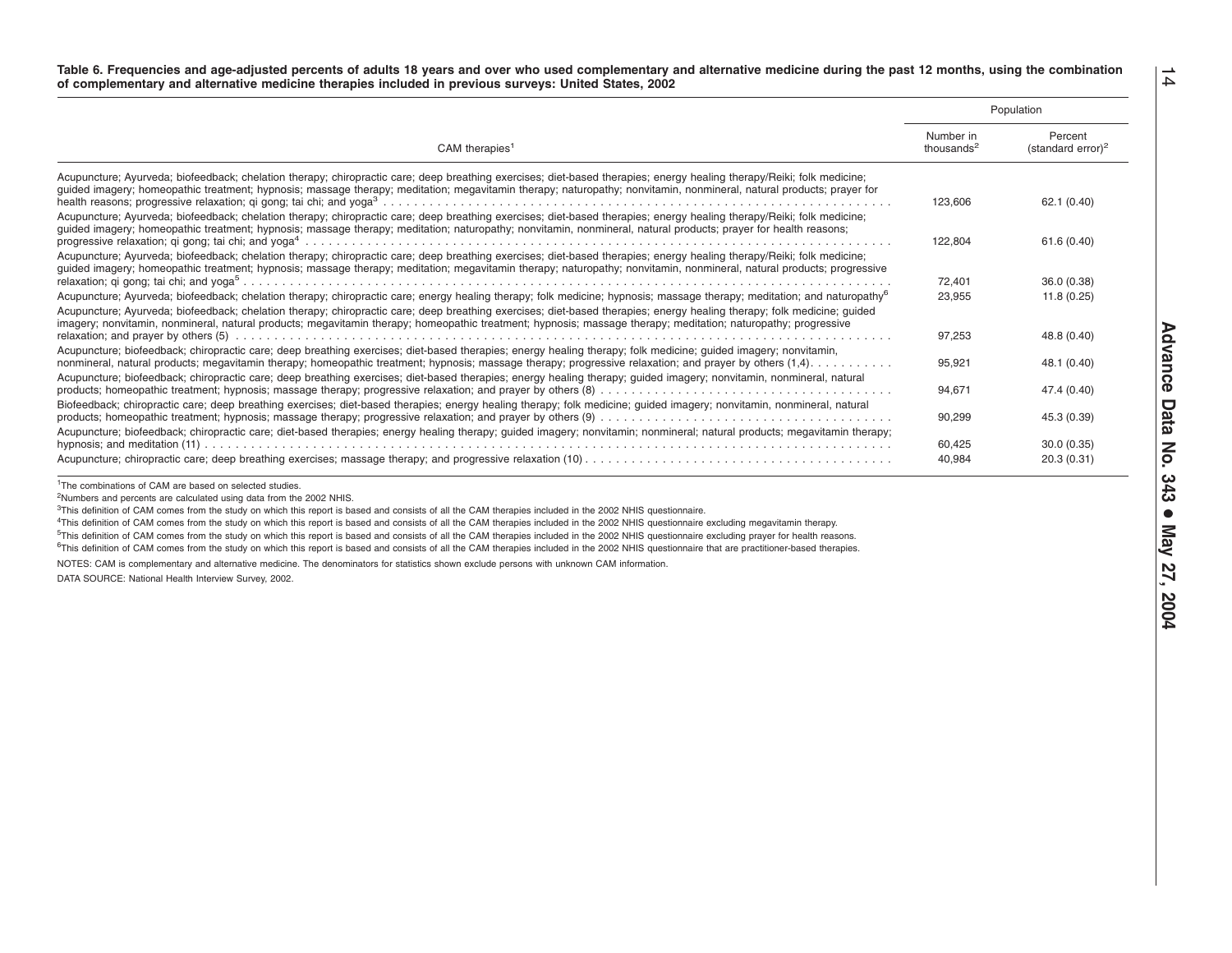#### <span id="page-13-0"></span>Table 6. Frequencies and age-adjusted percents of adults 18 years and over who used complementary and alternative medicine during the past 12 months, using the combination **of complementary and alternative medicine therapies included in previous surveys: United States, 2002**

|                                                                                                                                                                                                                                                                                                                                                                                                                                                                                                                                   |                                     | Population                               |
|-----------------------------------------------------------------------------------------------------------------------------------------------------------------------------------------------------------------------------------------------------------------------------------------------------------------------------------------------------------------------------------------------------------------------------------------------------------------------------------------------------------------------------------|-------------------------------------|------------------------------------------|
| CAM therapies <sup>1</sup>                                                                                                                                                                                                                                                                                                                                                                                                                                                                                                        | Number in<br>thousands <sup>2</sup> | Percent<br>(standard error) <sup>2</sup> |
| Acupuncture; Ayurveda; biofeedback; chelation therapy; chiropractic care; deep breathing exercises; diet-based therapies; energy healing therapy/Reiki; folk medicine;<br>guided imagery; homeopathic treatment; hypnosis; massage therapy; meditation; megavitamin therapy; naturopathy; nonvitamin, nonmineral, natural products; prayer for                                                                                                                                                                                    | 123,606                             | 62.1 (0.40)                              |
| Acupuncture; Ayurveda; biofeedback; chelation therapy; chiropractic care; deep breathing exercises; diet-based therapies; energy healing therapy/Reiki; folk medicine;<br>guided imagery; homeopathic treatment; hypnosis; massage therapy; meditation; naturopathy; nonvitamin, nonmineral, natural products; prayer for health reasons;<br>progressive relaxation; qi gong; tai chi; and yoga <sup>4</sup>                                                                                                                      | 122,804                             | 61.6 (0.40)                              |
| Acupuncture; Ayurveda; biofeedback; chelation therapy; chiropractic care; deep breathing exercises; diet-based therapies; energy healing therapy/Reiki; folk medicine;<br>guided imagery; homeopathic treatment; hypnosis; massage therapy; meditation; megavitamin therapy; naturopathy; nonvitamin, nonmineral, natural products; progressive                                                                                                                                                                                   | 72.401                              | 36.0 (0.38)                              |
| Acupuncture; Ayurveda; biofeedback; chelation therapy; chiropractic care; energy healing therapy; folk medicine; hypnosis; massage therapy; meditation; and naturopathy <sup>6</sup><br>Acupuncture; Ayurveda; biofeedback; chelation therapy; chiropractic care; deep breathing exercises; diet-based therapies; energy healing therapy; folk medicine; guided<br>imagery; nonvitamin, nonmineral, natural products; megavitamin therapy; homeopathic treatment; hypnosis; massage therapy; meditation; naturopathy; progressive | 23,955                              | 11.8(0.25)                               |
|                                                                                                                                                                                                                                                                                                                                                                                                                                                                                                                                   | 97,253                              | 48.8 (0.40)                              |
| Acupuncture; biofeedback; chiropractic care; deep breathing exercises; diet-based therapies; energy healing therapy; folk medicine; guided imagery; nonvitamin,                                                                                                                                                                                                                                                                                                                                                                   | 95,921                              | 48.1 (0.40)                              |
| Acupuncture; biofeedback; chiropractic care; deep breathing exercises; diet-based therapies; energy healing therapy; quided imagery; nonvitamin, nonmineral, natural                                                                                                                                                                                                                                                                                                                                                              | 94,671                              | 47.4 (0.40)                              |
| Biofeedback; chiropractic care; deep breathing exercises; diet-based therapies; energy healing therapy; folk medicine; guided imagery; nonvitamin, nonmineral, natural                                                                                                                                                                                                                                                                                                                                                            | 90.299                              | 45.3 (0.39)                              |
| Acupuncture; biofeedback; chiropractic care; diet-based therapies; energy healing therapy; guided imagery; nonvitamin; nonmineral; natural products; megavitamin therapy;                                                                                                                                                                                                                                                                                                                                                         | 60,425<br>40,984                    | 30.0(0.35)<br>20.3(0.31)                 |
|                                                                                                                                                                                                                                                                                                                                                                                                                                                                                                                                   |                                     |                                          |

<sup>1</sup>The combinations of CAM are based on selected studies.

2Numbers and percents are calculated using data from the <sup>2002</sup> NHIS.

<sup>3</sup>This definition of CAM comes from the study on which this report is based and consists of all the CAM therapies included in the 2002 NHIS questionnaire.

4This definition of CAM comes from the study on which this report is based and consists of all the CAM therapies included in the <sup>2002</sup> NHIS questionnaire excluding megavitamin therapy.

<sup>5</sup>This definition of CAM comes from the study on which this report is based and consists of all the CAM therapies included in the 2002 NHIS questionnaire excluding prayer for health reasons.

<sup>6</sup>This definition of CAM comes from the study on which this report is based and consists of all the CAM therapies included in the 2002 NHIS questionnaire that are practitioner-based therapies.

NOTES: CAM is complementary and alternative medicine. The denominators for statistics shown exclude persons with unknown CAM information.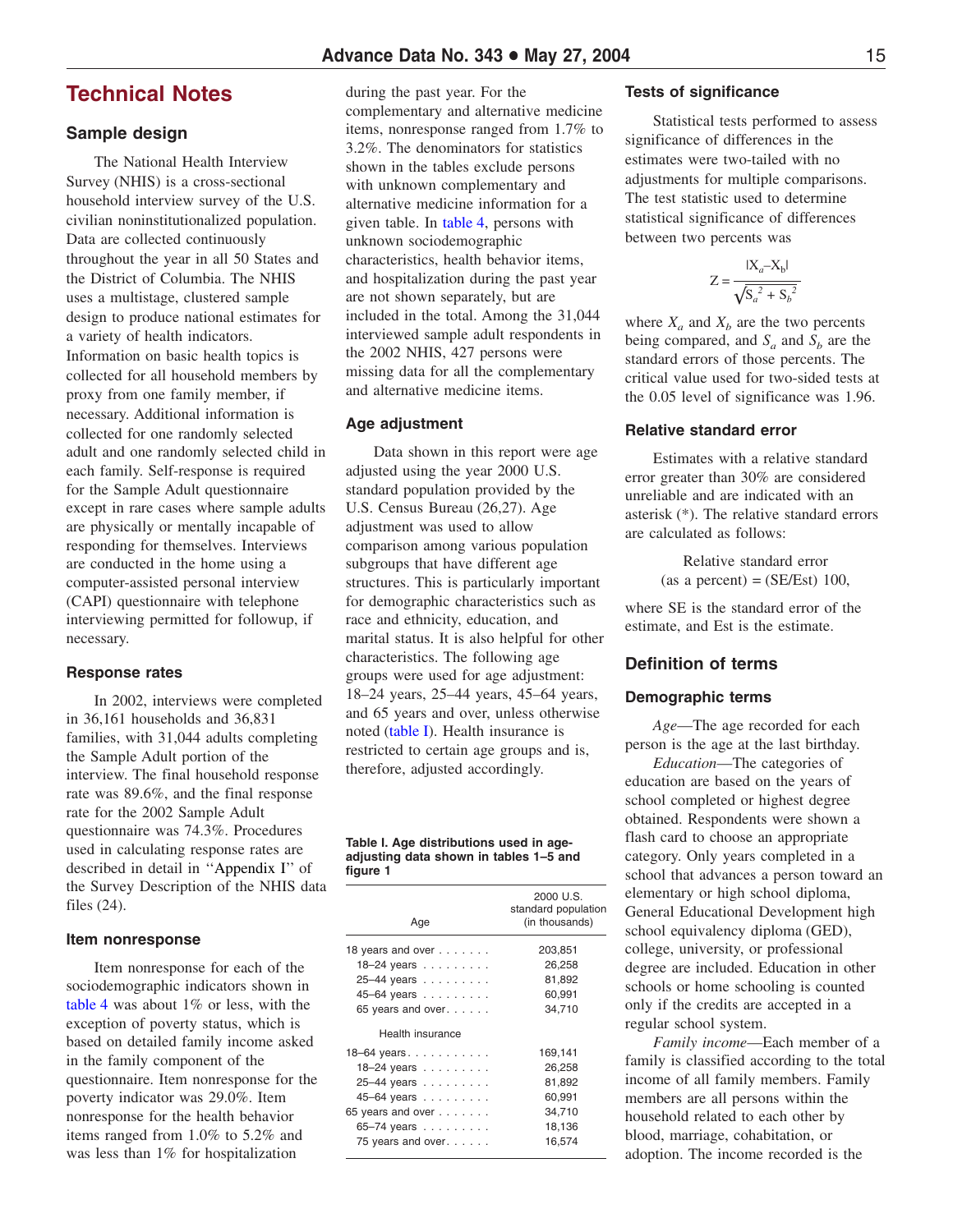## **Technical Notes**

#### **Sample design**

The National Health Interview Survey (NHIS) is a cross-sectional household interview survey of the U.S. civilian noninstitutionalized population. Data are collected continuously throughout the year in all 50 States and the District of Columbia. The NHIS uses a multistage, clustered sample design to produce national estimates for a variety of health indicators. Information on basic health topics is collected for all household members by proxy from one family member, if necessary. Additional information is collected for one randomly selected adult and one randomly selected child in each family. Self-response is required for the Sample Adult questionnaire except in rare cases where sample adults are physically or mentally incapable of responding for themselves. Interviews are conducted in the home using a computer-assisted personal interview (CAPI) questionnaire with telephone interviewing permitted for followup, if necessary.

#### **Response rates**

In 2002, interviews were completed in 36,161 households and 36,831 families, with 31,044 adults completing the Sample Adult portion of the interview. The final household response rate was 89.6%, and the final response rate for the 2002 Sample Adult questionnaire was 74.3%. Procedures used in calculating response rates are described in detail in ''Appendix I'' of the Survey Description of the NHIS data files (24).

#### **Item nonresponse**

Item nonresponse for each of the sociodemographic indicators shown in [table](#page-9-0) 4 was about 1% or less, with the exception of poverty status, which is based on detailed family income asked in the family component of the questionnaire. Item nonresponse for the poverty indicator was 29.0%. Item nonresponse for the health behavior items ranged from 1.0% to 5.2% and was less than 1% for hospitalization

during the past year. For the complementary and alternative medicine items, nonresponse ranged from 1.7% to 3.2%. The denominators for statistics shown in the tables exclude persons with unknown complementary and alternative medicine information for a given table. In [table](#page-11-0) 4, persons with unknown sociodemographic characteristics, health behavior items, and hospitalization during the past year are not shown separately, but are included in the total. Among the 31,044 interviewed sample adult respondents in the 2002 NHIS, 427 persons were missing data for all the complementary and alternative medicine items.

#### **Age adjustment**

Data shown in this report were age adjusted using the year 2000 U.S. standard population provided by the U.S. Census Bureau (26,27). Age adjustment was used to allow comparison among various population subgroups that have different age structures. This is particularly important for demographic characteristics such as race and ethnicity, education, and marital status. It is also helpful for other characteristics. The following age groups were used for age adjustment: 18–24 years, 25–44 years, 45–64 years, and 65 years and over, unless otherwise noted (table I). Health insurance is restricted to certain age groups and is, therefore, adjusted accordingly.

**Table I. Age distributions used in ageadjusting data shown in tables 1–5 and figure 1**

| Age                | 2000 U.S.<br>standard population<br>(in thousands) |
|--------------------|----------------------------------------------------|
| 18 years and over  | 203,851                                            |
| 18-24 years        | 26,258                                             |
| 25-44 years        | 81,892                                             |
| 45-64 years        | 60,991                                             |
| 65 years and over. | 34,710                                             |
| Health insurance   |                                                    |
| 18-64 years.       | 169,141                                            |
| 18-24 years        | 26,258                                             |
| 25-44 years        | 81,892                                             |
| 45-64 years        | 60,991                                             |
| 65 years and over  | 34,710                                             |
| 65-74 years        | 18,136                                             |
| 75 years and over. | 16,574                                             |
|                    |                                                    |

#### **Tests of significance**

Statistical tests performed to assess significance of differences in the estimates were two-tailed with no adjustments for multiple comparisons. The test statistic used to determine statistical significance of differences between two percents was

$$
Z = \frac{|X_a - X_b|}{\sqrt{S_a^2 + S_b^2}}
$$

where  $X_a$  and  $X_b$  are the two percents being compared, and  $S_a$  and  $S_b$  are the standard errors of those percents. The critical value used for two-sided tests at the 0.05 level of significance was 1.96.

#### **Relative standard error**

Estimates with a relative standard error greater than 30% are considered unreliable and are indicated with an asterisk (\*). The relative standard errors are calculated as follows:

> Relative standard error (as a percent)  $=$  (SE/Est) 100,

where SE is the standard error of the estimate, and Est is the estimate.

#### **Definition of terms**

#### **Demographic terms**

*Age*—The age recorded for each person is the age at the last birthday.

*Education*—The categories of education are based on the years of school completed or highest degree obtained. Respondents were shown a flash card to choose an appropriate category. Only years completed in a school that advances a person toward an elementary or high school diploma, General Educational Development high school equivalency diploma (GED), college, university, or professional degree are included. Education in other schools or home schooling is counted only if the credits are accepted in a regular school system.

*Family income*—Each member of a family is classified according to the total income of all family members. Family members are all persons within the household related to each other by blood, marriage, cohabitation, or adoption. The income recorded is the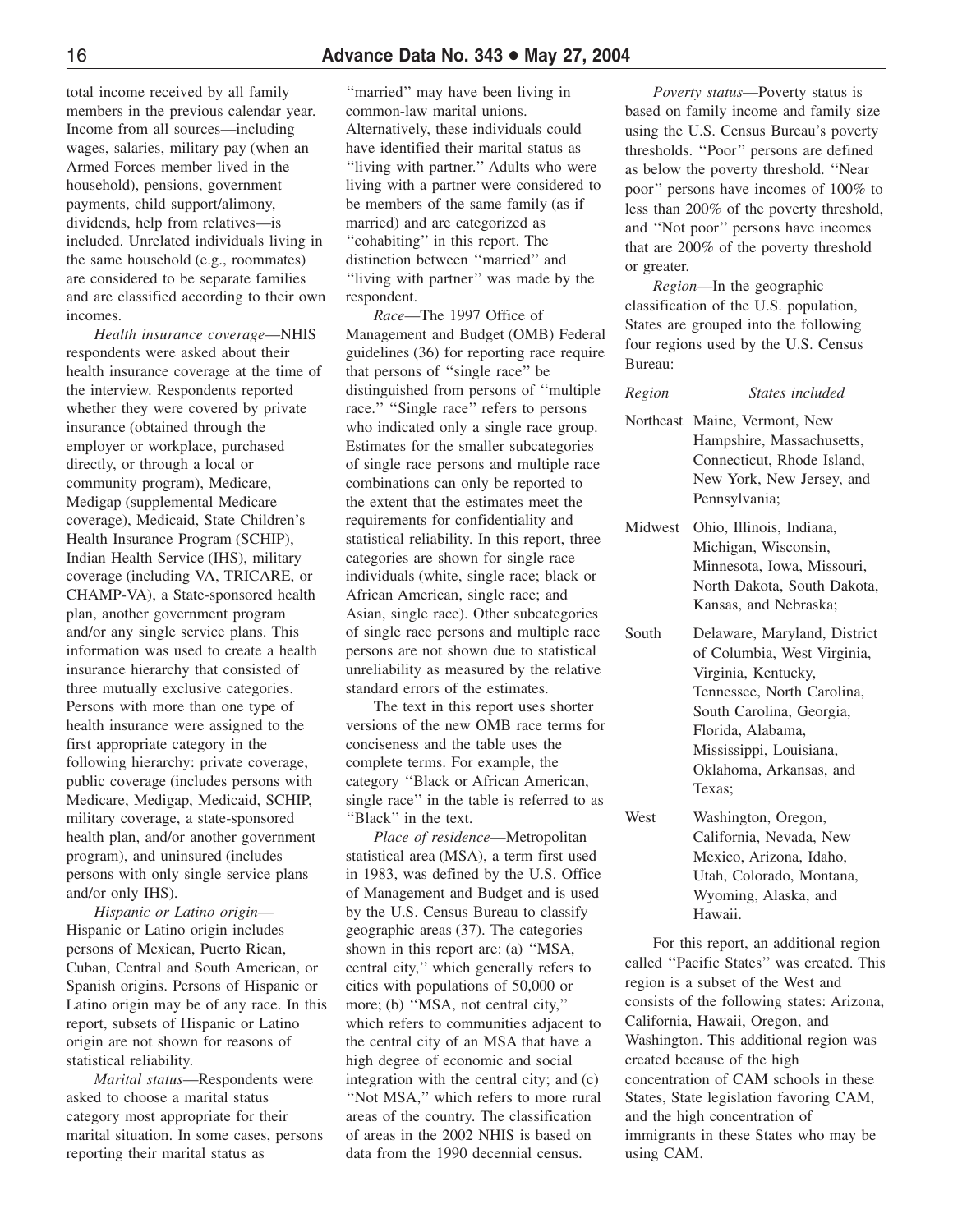total income received by all family members in the previous calendar year. Income from all sources—including wages, salaries, military pay (when an Armed Forces member lived in the household), pensions, government payments, child support/alimony, dividends, help from relatives—is included. Unrelated individuals living in the same household (e.g., roommates) are considered to be separate families and are classified according to their own incomes.

*Health insurance coverage*—NHIS respondents were asked about their health insurance coverage at the time of the interview. Respondents reported whether they were covered by private insurance (obtained through the employer or workplace, purchased directly, or through a local or community program), Medicare, Medigap (supplemental Medicare coverage), Medicaid, State Children's Health Insurance Program (SCHIP), Indian Health Service (IHS), military coverage (including VA, TRICARE, or CHAMP-VA), a State-sponsored health plan, another government program and/or any single service plans. This information was used to create a health insurance hierarchy that consisted of three mutually exclusive categories. Persons with more than one type of health insurance were assigned to the first appropriate category in the following hierarchy: private coverage, public coverage (includes persons with Medicare, Medigap, Medicaid, SCHIP, military coverage, a state-sponsored health plan, and/or another government program), and uninsured (includes persons with only single service plans and/or only IHS).

*Hispanic or Latino origin*— Hispanic or Latino origin includes persons of Mexican, Puerto Rican, Cuban, Central and South American, or Spanish origins. Persons of Hispanic or Latino origin may be of any race. In this report, subsets of Hispanic or Latino origin are not shown for reasons of statistical reliability.

*Marital status*—Respondents were asked to choose a marital status category most appropriate for their marital situation. In some cases, persons reporting their marital status as

''married'' may have been living in common-law marital unions. Alternatively, these individuals could have identified their marital status as ''living with partner.'' Adults who were living with a partner were considered to be members of the same family (as if married) and are categorized as ''cohabiting'' in this report. The distinction between ''married'' and ''living with partner'' was made by the respondent.

*Race*—The 1997 Office of Management and Budget (OMB) Federal guidelines (36) for reporting race require that persons of ''single race'' be distinguished from persons of ''multiple race." "Single race" refers to persons who indicated only a single race group. Estimates for the smaller subcategories of single race persons and multiple race combinations can only be reported to the extent that the estimates meet the requirements for confidentiality and statistical reliability. In this report, three categories are shown for single race individuals (white, single race; black or African American, single race; and Asian, single race). Other subcategories of single race persons and multiple race persons are not shown due to statistical unreliability as measured by the relative standard errors of the estimates.

The text in this report uses shorter versions of the new OMB race terms for conciseness and the table uses the complete terms. For example, the category ''Black or African American, single race'' in the table is referred to as "Black" in the text.

*Place of residence*—Metropolitan statistical area (MSA), a term first used in 1983, was defined by the U.S. Office of Management and Budget and is used by the U.S. Census Bureau to classify geographic areas (37). The categories shown in this report are: (a) ''MSA, central city,'' which generally refers to cities with populations of 50,000 or more; (b) "MSA, not central city," which refers to communities adjacent to the central city of an MSA that have a high degree of economic and social integration with the central city; and (c) ''Not MSA,'' which refers to more rural areas of the country. The classification of areas in the 2002 NHIS is based on data from the 1990 decennial census.

*Poverty status*—Poverty status is based on family income and family size using the U.S. Census Bureau's poverty thresholds. ''Poor'' persons are defined as below the poverty threshold. ''Near poor'' persons have incomes of 100% to less than 200% of the poverty threshold, and ''Not poor'' persons have incomes that are 200% of the poverty threshold or greater.

*Region*—In the geographic classification of the U.S. population, States are grouped into the following four regions used by the U.S. Census Bureau:

| Region    | States included                                                                                                                                                                                                                   |
|-----------|-----------------------------------------------------------------------------------------------------------------------------------------------------------------------------------------------------------------------------------|
| Northeast | Maine, Vermont, New<br>Hampshire, Massachusetts,<br>Connecticut, Rhode Island,<br>New York, New Jersey, and<br>Pennsylvania;                                                                                                      |
| Midwest   | Ohio, Illinois, Indiana,<br>Michigan, Wisconsin,<br>Minnesota, Iowa, Missouri,<br>North Dakota, South Dakota,<br>Kansas, and Nebraska;                                                                                            |
| South     | Delaware, Maryland, District<br>of Columbia, West Virginia,<br>Virginia, Kentucky,<br>Tennessee, North Carolina,<br>South Carolina, Georgia,<br>Florida, Alabama,<br>Mississippi, Louisiana,<br>Oklahoma, Arkansas, and<br>Texas: |
| West      | Washington, Oregon,<br>California, Nevada, New<br>Mexico, Arizona, Idaho,<br>Utah, Colorado, Montana,<br>Wyoming, Alaska, and<br>Hawaii.                                                                                          |
|           | For this report, an additional region<br>called "Pacific States" was created. This<br>region is a subset of the West and<br>consists of the following states: Arizona                                                             |

consists of the following states: Arizona, California, Hawaii, Oregon, and Washington. This additional region was created because of the high concentration of CAM schools in these States, State legislation favoring CAM, and the high concentration of immigrants in these States who may be using CAM.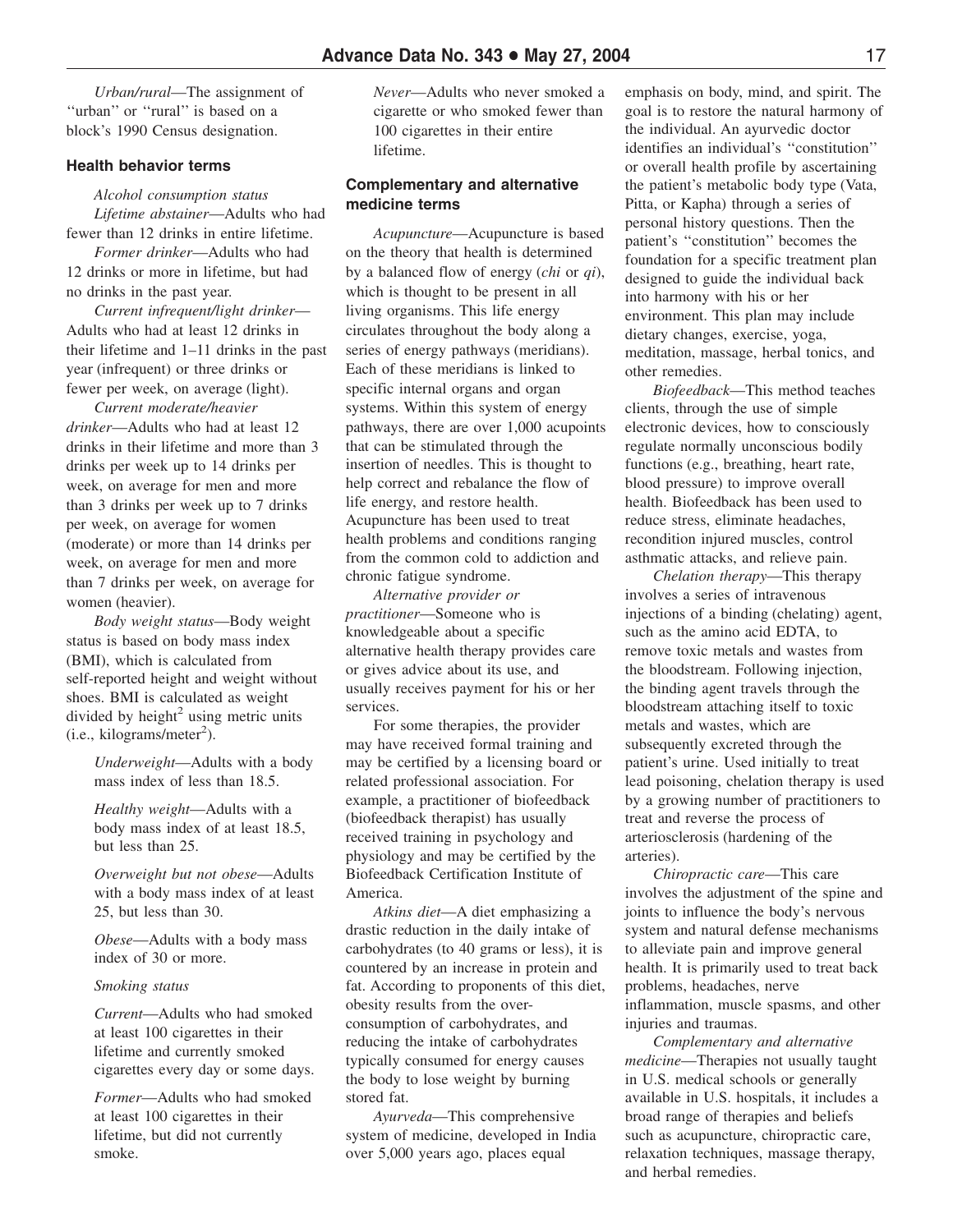*Urban/rural*—The assignment of "urban" or "rural" is based on a block's 1990 Census designation.

#### **Health behavior terms**

*Alcohol consumption status Lifetime abstainer*—Adults who had fewer than 12 drinks in entire lifetime.

*Former drinker*—Adults who had 12 drinks or more in lifetime, but had no drinks in the past year.

*Current infrequent/light drinker*— Adults who had at least 12 drinks in their lifetime and 1–11 drinks in the past year (infrequent) or three drinks or fewer per week, on average (light).

*Current moderate/heavier drinker*—Adults who had at least 12 drinks in their lifetime and more than 3 drinks per week up to 14 drinks per week, on average for men and more than 3 drinks per week up to 7 drinks per week, on average for women (moderate) or more than 14 drinks per week, on average for men and more than 7 drinks per week, on average for women (heavier).

*Body weight status*—Body weight status is based on body mass index (BMI), which is calculated from self-reported height and weight without shoes. BMI is calculated as weight divided by height<sup>2</sup> using metric units  $(i.e., kilograms/meter<sup>2</sup>).$ 

> *Underweight*—Adults with a body mass index of less than 18.5.

*Healthy weight*—Adults with a body mass index of at least 18.5, but less than 25.

*Overweight but not obese*—Adults with a body mass index of at least 25, but less than 30.

*Obese*—Adults with a body mass index of 30 or more.

#### *Smoking status*

*Current*—Adults who had smoked at least 100 cigarettes in their lifetime and currently smoked cigarettes every day or some days.

*Former*—Adults who had smoked at least 100 cigarettes in their lifetime, but did not currently smoke.

*Never*—Adults who never smoked a cigarette or who smoked fewer than 100 cigarettes in their entire lifetime.

#### **Complementary and alternative medicine terms**

*Acupuncture*—Acupuncture is based on the theory that health is determined by a balanced flow of energy (*chi* or *qi*), which is thought to be present in all living organisms. This life energy circulates throughout the body along a series of energy pathways (meridians). Each of these meridians is linked to specific internal organs and organ systems. Within this system of energy pathways, there are over 1,000 acupoints that can be stimulated through the insertion of needles. This is thought to help correct and rebalance the flow of life energy, and restore health. Acupuncture has been used to treat health problems and conditions ranging from the common cold to addiction and chronic fatigue syndrome.

*Alternative provider or practitioner*—Someone who is knowledgeable about a specific alternative health therapy provides care or gives advice about its use, and usually receives payment for his or her services.

For some therapies, the provider may have received formal training and may be certified by a licensing board or related professional association. For example, a practitioner of biofeedback (biofeedback therapist) has usually received training in psychology and physiology and may be certified by the Biofeedback Certification Institute of America.

*Atkins diet*—A diet emphasizing a drastic reduction in the daily intake of carbohydrates (to 40 grams or less), it is countered by an increase in protein and fat. According to proponents of this diet, obesity results from the overconsumption of carbohydrates, and reducing the intake of carbohydrates typically consumed for energy causes the body to lose weight by burning stored fat.

*Ayurveda*—This comprehensive system of medicine, developed in India over 5,000 years ago, places equal

emphasis on body, mind, and spirit. The goal is to restore the natural harmony of the individual. An ayurvedic doctor identifies an individual's ''constitution'' or overall health profile by ascertaining the patient's metabolic body type (Vata, Pitta, or Kapha) through a series of personal history questions. Then the patient's ''constitution'' becomes the foundation for a specific treatment plan designed to guide the individual back into harmony with his or her environment. This plan may include dietary changes, exercise, yoga, meditation, massage, herbal tonics, and other remedies.

*Biofeedback*—This method teaches clients, through the use of simple electronic devices, how to consciously regulate normally unconscious bodily functions (e.g., breathing, heart rate, blood pressure) to improve overall health. Biofeedback has been used to reduce stress, eliminate headaches, recondition injured muscles, control asthmatic attacks, and relieve pain.

*Chelation therapy*—This therapy involves a series of intravenous injections of a binding (chelating) agent, such as the amino acid EDTA, to remove toxic metals and wastes from the bloodstream. Following injection, the binding agent travels through the bloodstream attaching itself to toxic metals and wastes, which are subsequently excreted through the patient's urine. Used initially to treat lead poisoning, chelation therapy is used by a growing number of practitioners to treat and reverse the process of arteriosclerosis (hardening of the arteries).

*Chiropractic care*—This care involves the adjustment of the spine and joints to influence the body's nervous system and natural defense mechanisms to alleviate pain and improve general health. It is primarily used to treat back problems, headaches, nerve inflammation, muscle spasms, and other injuries and traumas.

*Complementary and alternative medicine*—Therapies not usually taught in U.S. medical schools or generally available in U.S. hospitals, it includes a broad range of therapies and beliefs such as acupuncture, chiropractic care, relaxation techniques, massage therapy, and herbal remedies.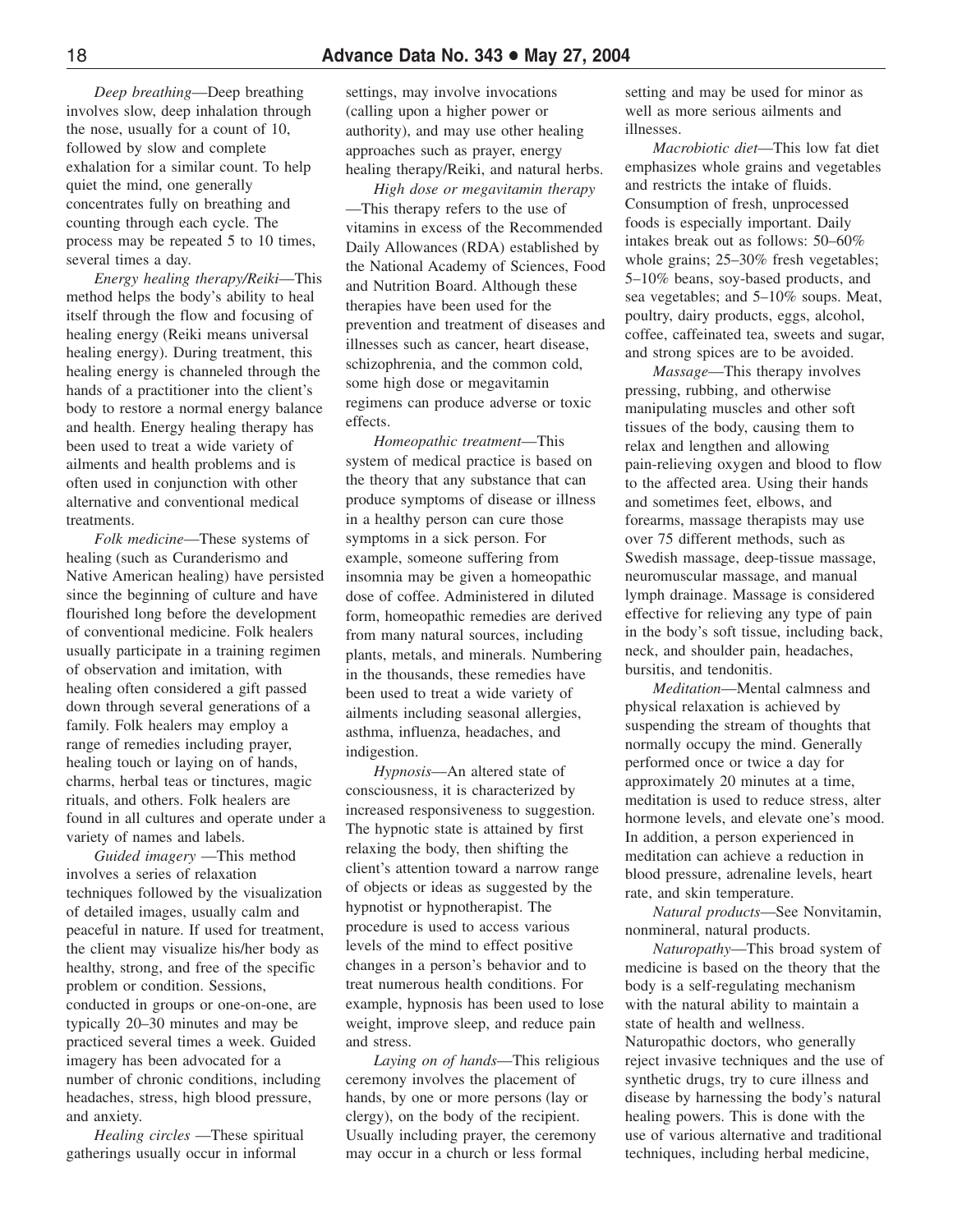*Deep breathing*—Deep breathing involves slow, deep inhalation through the nose, usually for a count of 10, followed by slow and complete exhalation for a similar count. To help quiet the mind, one generally concentrates fully on breathing and counting through each cycle. The process may be repeated 5 to 10 times, several times a day.

*Energy healing therapy/Reiki*—This method helps the body's ability to heal itself through the flow and focusing of healing energy (Reiki means universal healing energy). During treatment, this healing energy is channeled through the hands of a practitioner into the client's body to restore a normal energy balance and health. Energy healing therapy has been used to treat a wide variety of ailments and health problems and is often used in conjunction with other alternative and conventional medical treatments.

*Folk medicine*—These systems of healing (such as Curanderismo and Native American healing) have persisted since the beginning of culture and have flourished long before the development of conventional medicine. Folk healers usually participate in a training regimen of observation and imitation, with healing often considered a gift passed down through several generations of a family. Folk healers may employ a range of remedies including prayer, healing touch or laying on of hands, charms, herbal teas or tinctures, magic rituals, and others. Folk healers are found in all cultures and operate under a variety of names and labels.

*Guided imagery* —This method involves a series of relaxation techniques followed by the visualization of detailed images, usually calm and peaceful in nature. If used for treatment, the client may visualize his/her body as healthy, strong, and free of the specific problem or condition. Sessions, conducted in groups or one-on-one, are typically 20–30 minutes and may be practiced several times a week. Guided imagery has been advocated for a number of chronic conditions, including headaches, stress, high blood pressure, and anxiety.

*Healing circles* —These spiritual gatherings usually occur in informal

settings, may involve invocations (calling upon a higher power or authority), and may use other healing approaches such as prayer, energy healing therapy/Reiki, and natural herbs.

*High dose or megavitamin therapy* —This therapy refers to the use of vitamins in excess of the Recommended Daily Allowances (RDA) established by the National Academy of Sciences, Food and Nutrition Board. Although these therapies have been used for the prevention and treatment of diseases and illnesses such as cancer, heart disease, schizophrenia, and the common cold, some high dose or megavitamin regimens can produce adverse or toxic effects.

*Homeopathic treatment*—This system of medical practice is based on the theory that any substance that can produce symptoms of disease or illness in a healthy person can cure those symptoms in a sick person. For example, someone suffering from insomnia may be given a homeopathic dose of coffee. Administered in diluted form, homeopathic remedies are derived from many natural sources, including plants, metals, and minerals. Numbering in the thousands, these remedies have been used to treat a wide variety of ailments including seasonal allergies, asthma, influenza, headaches, and indigestion.

*Hypnosis*—An altered state of consciousness, it is characterized by increased responsiveness to suggestion. The hypnotic state is attained by first relaxing the body, then shifting the client's attention toward a narrow range of objects or ideas as suggested by the hypnotist or hypnotherapist. The procedure is used to access various levels of the mind to effect positive changes in a person's behavior and to treat numerous health conditions. For example, hypnosis has been used to lose weight, improve sleep, and reduce pain and stress.

*Laying on of hands*—This religious ceremony involves the placement of hands, by one or more persons (lay or clergy), on the body of the recipient. Usually including prayer, the ceremony may occur in a church or less formal

setting and may be used for minor as well as more serious ailments and illnesses.

*Macrobiotic diet*—This low fat diet emphasizes whole grains and vegetables and restricts the intake of fluids. Consumption of fresh, unprocessed foods is especially important. Daily intakes break out as follows: 50–60% whole grains;  $25-30\%$  fresh vegetables; 5–10% beans, soy-based products, and sea vegetables; and 5–10% soups. Meat, poultry, dairy products, eggs, alcohol, coffee, caffeinated tea, sweets and sugar, and strong spices are to be avoided.

*Massage*—This therapy involves pressing, rubbing, and otherwise manipulating muscles and other soft tissues of the body, causing them to relax and lengthen and allowing pain-relieving oxygen and blood to flow to the affected area. Using their hands and sometimes feet, elbows, and forearms, massage therapists may use over 75 different methods, such as Swedish massage, deep-tissue massage, neuromuscular massage, and manual lymph drainage. Massage is considered effective for relieving any type of pain in the body's soft tissue, including back, neck, and shoulder pain, headaches, bursitis, and tendonitis.

*Meditation*—Mental calmness and physical relaxation is achieved by suspending the stream of thoughts that normally occupy the mind. Generally performed once or twice a day for approximately 20 minutes at a time, meditation is used to reduce stress, alter hormone levels, and elevate one's mood. In addition, a person experienced in meditation can achieve a reduction in blood pressure, adrenaline levels, heart rate, and skin temperature.

*Natural products*—See Nonvitamin, nonmineral, natural products.

*Naturopathy*—This broad system of medicine is based on the theory that the body is a self-regulating mechanism with the natural ability to maintain a state of health and wellness. Naturopathic doctors, who generally reject invasive techniques and the use of synthetic drugs, try to cure illness and disease by harnessing the body's natural healing powers. This is done with the use of various alternative and traditional techniques, including herbal medicine,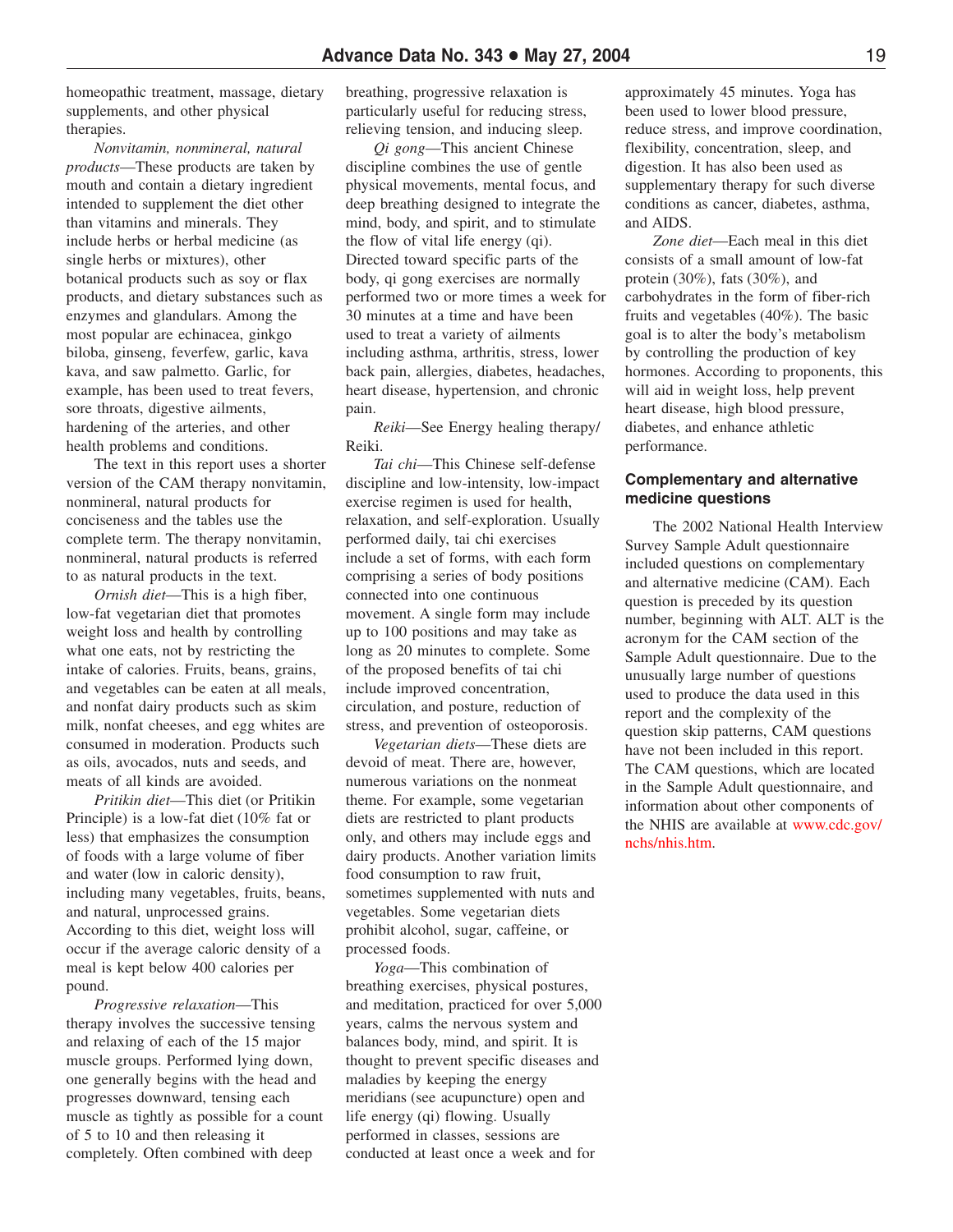homeopathic treatment, massage, dietary supplements, and other physical therapies.

*Nonvitamin, nonmineral, natural products*—These products are taken by mouth and contain a dietary ingredient intended to supplement the diet other than vitamins and minerals. They include herbs or herbal medicine (as single herbs or mixtures), other botanical products such as soy or flax products, and dietary substances such as enzymes and glandulars. Among the most popular are echinacea, ginkgo biloba, ginseng, feverfew, garlic, kava kava, and saw palmetto. Garlic, for example, has been used to treat fevers, sore throats, digestive ailments, hardening of the arteries, and other health problems and conditions.

The text in this report uses a shorter version of the CAM therapy nonvitamin, nonmineral, natural products for conciseness and the tables use the complete term. The therapy nonvitamin, nonmineral, natural products is referred to as natural products in the text.

*Ornish diet*—This is a high fiber, low-fat vegetarian diet that promotes weight loss and health by controlling what one eats, not by restricting the intake of calories. Fruits, beans, grains, and vegetables can be eaten at all meals, and nonfat dairy products such as skim milk, nonfat cheeses, and egg whites are consumed in moderation. Products such as oils, avocados, nuts and seeds, and meats of all kinds are avoided.

*Pritikin diet*—This diet (or Pritikin Principle) is a low-fat diet (10% fat or less) that emphasizes the consumption of foods with a large volume of fiber and water (low in caloric density), including many vegetables, fruits, beans, and natural, unprocessed grains. According to this diet, weight loss will occur if the average caloric density of a meal is kept below 400 calories per pound.

*Progressive relaxation*—This therapy involves the successive tensing and relaxing of each of the 15 major muscle groups. Performed lying down, one generally begins with the head and progresses downward, tensing each muscle as tightly as possible for a count of 5 to 10 and then releasing it completely. Often combined with deep

breathing, progressive relaxation is particularly useful for reducing stress, relieving tension, and inducing sleep.

*Qi gong*—This ancient Chinese discipline combines the use of gentle physical movements, mental focus, and deep breathing designed to integrate the mind, body, and spirit, and to stimulate the flow of vital life energy (qi). Directed toward specific parts of the body, qi gong exercises are normally performed two or more times a week for 30 minutes at a time and have been used to treat a variety of ailments including asthma, arthritis, stress, lower back pain, allergies, diabetes, headaches, heart disease, hypertension, and chronic pain.

*Reiki*—See Energy healing therapy/ Reiki.

*Tai chi*—This Chinese self-defense discipline and low-intensity, low-impact exercise regimen is used for health, relaxation, and self-exploration. Usually performed daily, tai chi exercises include a set of forms, with each form comprising a series of body positions connected into one continuous movement. A single form may include up to 100 positions and may take as long as 20 minutes to complete. Some of the proposed benefits of tai chi include improved concentration, circulation, and posture, reduction of stress, and prevention of osteoporosis.

*Vegetarian diets*—These diets are devoid of meat. There are, however, numerous variations on the nonmeat theme. For example, some vegetarian diets are restricted to plant products only, and others may include eggs and dairy products. Another variation limits food consumption to raw fruit, sometimes supplemented with nuts and vegetables. Some vegetarian diets prohibit alcohol, sugar, caffeine, or processed foods.

*Yoga*—This combination of breathing exercises, physical postures, and meditation, practiced for over 5,000 years, calms the nervous system and balances body, mind, and spirit. It is thought to prevent specific diseases and maladies by keeping the energy meridians (see acupuncture) open and life energy (qi) flowing. Usually performed in classes, sessions are conducted at least once a week and for

approximately 45 minutes. Yoga has been used to lower blood pressure, reduce stress, and improve coordination, flexibility, concentration, sleep, and digestion. It has also been used as supplementary therapy for such diverse conditions as cancer, diabetes, asthma, and AIDS.

*Zone diet*—Each meal in this diet consists of a small amount of low-fat protein (30%), fats (30%), and carbohydrates in the form of fiber-rich fruits and vegetables (40%). The basic goal is to alter the body's metabolism by controlling the production of key hormones. According to proponents, this will aid in weight loss, help prevent heart disease, high blood pressure, diabetes, and enhance athletic performance.

#### **Complementary and alternative medicine questions**

The 2002 National Health Interview Survey Sample Adult questionnaire included questions on complementary and alternative medicine (CAM). Each question is preceded by its question number, beginning with ALT. ALT is the acronym for the CAM section of the Sample Adult questionnaire. Due to the unusually large number of questions used to produce the data used in this report and the complexity of the question skip patterns, CAM questions have not been included in this report. The CAM questions, which are located in the Sample Adult questionnaire, and information about other components of the NHIS are available at www.cdc.gov/ [nchs/nhis.htm.](http://www.cdc.gov/nchs/nhis.htm)